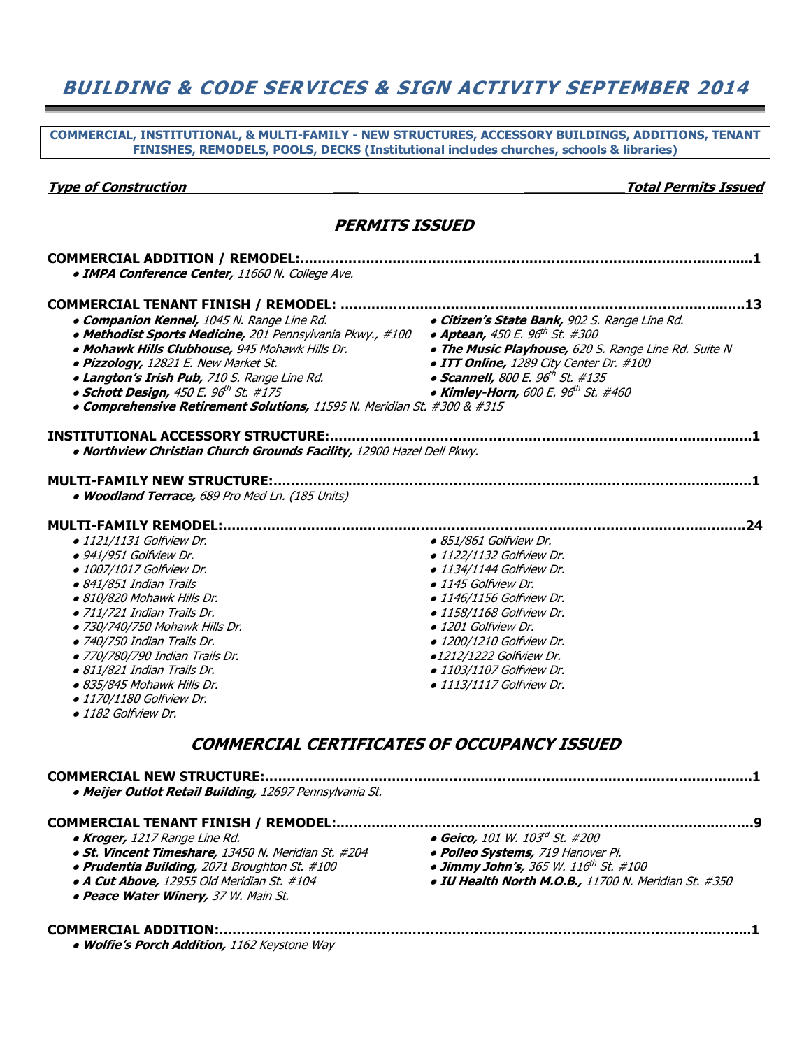## BUILDING & CODE SERVICES & SIGN ACTIVITY SEPTEMBER 2014

COMMERCIAL, INSTITUTIONAL, & MULTI-FAMILY - NEW STRUCTURES, ACCESSORY BUILDINGS, ADDITIONS, TENANT FINISHES, REMODELS, POOLS, DECKS (Institutional includes churches, schools & libraries)

Type of Construction \_\_\_ \_\_\_\_\_\_\_\_\_\_\_\_Total Permits Issued

#### PERMITS ISSUED

| • IMPA Conference Center, 11660 N. College Ave.                                             |                                                      |
|---------------------------------------------------------------------------------------------|------------------------------------------------------|
|                                                                                             |                                                      |
| <b>. Companion Kennel,</b> 1045 N. Range Line Rd.                                           | · Citizen's State Bank, 902 S. Range Line Rd.        |
| • Methodist Sports Medicine, 201 Pennsylvania Pkwy., #100                                   | • Aptean, 450 E. 96 <sup>th</sup> St. #300           |
| · Mohawk Hills Clubhouse, 945 Mohawk Hills Dr.                                              | . The Music Playhouse, 620 S. Range Line Rd. Suite N |
| · Pizzology, 12821 E. New Market St.                                                        | • ITT Online, 1289 City Center Dr. #100              |
| · Langton's Irish Pub, 710 S. Range Line Rd.                                                | • Scannell, 800 E. 96 <sup>th</sup> St. #135         |
| • Schott Design, $450E E$ . $96th$ St. $\#175$                                              | • Kimley-Horn, 600 E. 96 <sup>th</sup> St. #460      |
| • Comprehensive Retirement Solutions, 11595 N. Meridian St. #300 & #315                     |                                                      |
|                                                                                             |                                                      |
| . Northview Christian Church Grounds Facility, 12900 Hazel Dell Pkwy.                       |                                                      |
| <b>MULTI-FAMILY NEW STRUCTURE:.</b>                                                         |                                                      |
| . Woodland Terrace, 689 Pro Med Ln. (185 Units)                                             |                                                      |
| <b>MULTI-FAMILY REMODEL:</b>                                                                |                                                      |
| · 1121/1131 Golfview Dr.                                                                    | · 851/861 Golfview Dr.                               |
| · 941/951 Golfview Dr.                                                                      | • 1122/1132 Golfview Dr.                             |
| • 1007/1017 Golfview Dr.                                                                    | · 1134/1144 Golfview Dr.                             |
| · 841/851 Indian Trails                                                                     | · 1145 Golfview Dr.                                  |
| · 810/820 Mohawk Hills Dr.                                                                  | · 1146/1156 Golfview Dr.                             |
| • 711/721 Indian Trails Dr.                                                                 | • 1158/1168 Golfview Dr.                             |
| · 730/740/750 Mohawk Hills Dr.                                                              | · 1201 Golfview Dr.                                  |
| · 740/750 Indian Trails Dr.                                                                 | · 1200/1210 Golfview Dr.                             |
| · 770/780/790 Indian Trails Dr.                                                             | ·1212/1222 Golfview Dr.                              |
| · 811/821 Indian Trails Dr.                                                                 | • 1103/1107 Golfview Dr.                             |
| · 835/845 Mohawk Hills Dr.                                                                  | · 1113/1117 Golfview Dr.                             |
| · 1170/1180 Golfview Dr.                                                                    |                                                      |
| · 1182 Golfview Dr.                                                                         |                                                      |
| <b>COMMERCIAL CERTIFICATES OF OCCUPANCY ISSUED</b>                                          |                                                      |
|                                                                                             |                                                      |
| <b>COMMERCIAL NEW STRUCTURE:</b><br>· Meijer Outlot Retail Building, 12697 Pennsylvania St. |                                                      |
|                                                                                             |                                                      |
|                                                                                             | • Geico, 101 W. 103d St. #200                        |
| • Kroger, 1217 Range Line Rd.                                                               | · Polleo Systems, 719 Hanover Pl.                    |
| · St. Vincent Timeshare, 13450 N. Meridian St. #204                                         |                                                      |
| · Prudentia Building, 2071 Broughton St. #100                                               | • Jimmy John's, 365 W. 116 <sup>th</sup> St. #100    |
| · A Cut Above, 12955 Old Meridian St. #104<br>· Peace Water Winery, 37 W. Main St.          | · IU Health North M.O.B., 11700 N. Meridian St. #350 |

#### COMMERCIAL ADDITION:………………………..…….………………………………………………………………….……...1

• Wolfie's Porch Addition, 1162 Keystone Way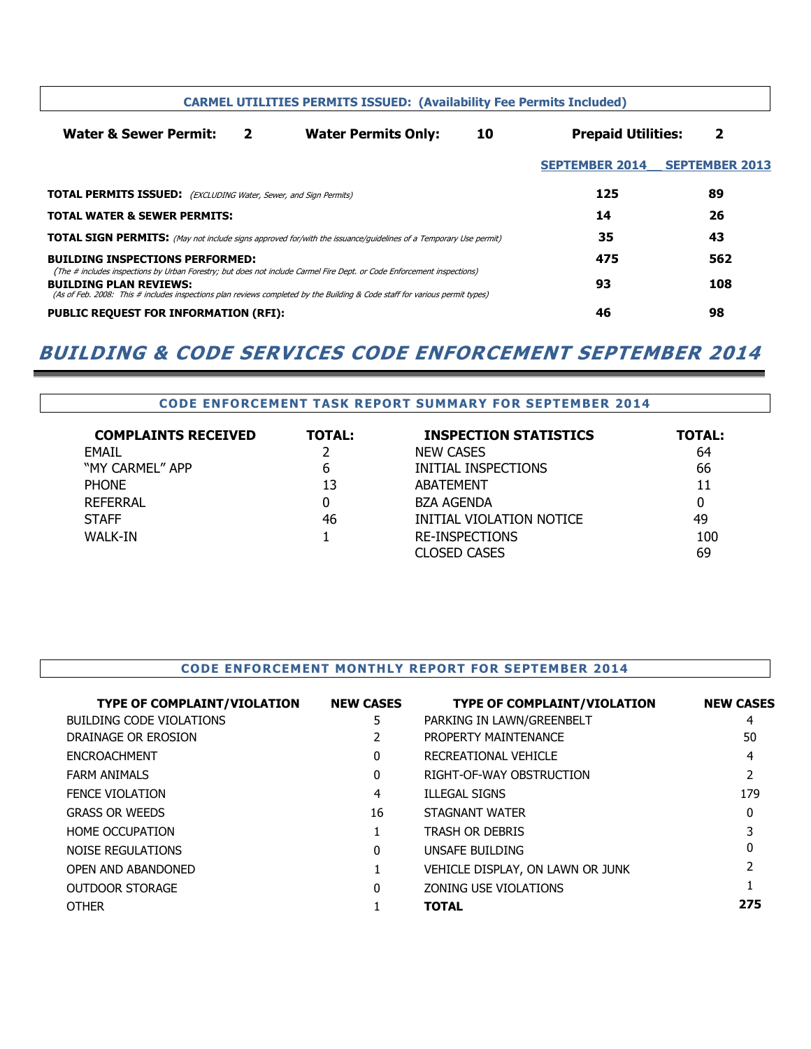| <b>CARMEL UTILITIES PERMITS ISSUED: (Availability Fee Permits Included)</b>                                            |              |                                                                                                                                                                                                                                                       |    |                           |                       |
|------------------------------------------------------------------------------------------------------------------------|--------------|-------------------------------------------------------------------------------------------------------------------------------------------------------------------------------------------------------------------------------------------------------|----|---------------------------|-----------------------|
| <b>Water &amp; Sewer Permit:</b>                                                                                       | $\mathbf{2}$ | <b>Water Permits Only:</b>                                                                                                                                                                                                                            | 10 | <b>Prepaid Utilities:</b> | 2                     |
|                                                                                                                        |              |                                                                                                                                                                                                                                                       |    | <b>SEPTEMBER 2014</b>     | <b>SEPTEMBER 2013</b> |
| <b>TOTAL PERMITS ISSUED:</b> (EXCLUDING Water, Sewer, and Sign Permits)                                                |              |                                                                                                                                                                                                                                                       |    | 125                       | 89                    |
| <b>TOTAL WATER &amp; SEWER PERMITS:</b>                                                                                |              |                                                                                                                                                                                                                                                       |    | 14                        | 26                    |
| <b>TOTAL SIGN PERMITS:</b> (May not include signs approved for/with the issuance/quidelines of a Temporary Use permit) |              |                                                                                                                                                                                                                                                       |    | 35                        | 43                    |
| <b>BUILDING INSPECTIONS PERFORMED:</b>                                                                                 |              |                                                                                                                                                                                                                                                       |    | 475                       | 562                   |
| <b>BUILDING PLAN REVIEWS:</b>                                                                                          |              | (The # includes inspections by Urban Forestry; but does not include Carmel Fire Dept. or Code Enforcement inspections)<br>(As of Feb. 2008: This # includes inspections plan reviews completed by the Building & Code staff for various permit types) |    | 93                        | 108                   |
| <b>PUBLIC REQUEST FOR INFORMATION (RFI):</b>                                                                           |              |                                                                                                                                                                                                                                                       |    | 46                        | 98                    |

### BUILDING & CODE SERVICES CODE ENFORCEMENT SEPTEMBER 2014

## CODE ENFORCEMENT TASK REPORT SUMMARY FOR SEPTEMBER 2014

| <b>COMPLAINTS RECEIVED</b> | <b>TOTAL:</b> | <b>INSPECTION STATISTICS</b> | <b>TOTAL:</b> |
|----------------------------|---------------|------------------------------|---------------|
| <b>FMAIL</b>               |               | <b>NEW CASES</b>             | 64            |
| "MY CARMEL" APP            | 6             | INITIAL INSPECTIONS          | 66            |
| <b>PHONE</b>               | 13            | <b>ABATEMENT</b>             | 11            |
| REFERRAL                   | 0             | <b>BZA AGENDA</b>            | 0             |
| <b>STAFF</b>               | 46            | INITIAL VIOLATION NOTICE     | 49            |
| <b>WALK-IN</b>             |               | <b>RE-INSPECTIONS</b>        | 100           |
|                            |               | CLOSED CASES                 | 69            |

#### CODE ENFORCEMENT MONTHLY REPORT FOR SEPTEMBER 2014

| <b>TYPE OF COMPLAINT/VIOLATION</b> | <b>NEW CASES</b> | <b>TYPE OF COMPLAINT/VIOLATION</b> | <b>NEW CASES</b> |
|------------------------------------|------------------|------------------------------------|------------------|
| <b>BUILDING CODE VIOLATIONS</b>    | 5                | PARKING IN LAWN/GREENBELT          | 4                |
| DRAINAGE OR EROSION                |                  | PROPERTY MAINTENANCE               | 50               |
| <b>ENCROACHMENT</b>                | 0                | RECREATIONAL VEHICLE               | 4                |
| <b>FARM ANIMALS</b>                | 0                | RIGHT-OF-WAY OBSTRUCTION           |                  |
| <b>FENCE VIOLATION</b>             | 4                | <b>ILLEGAL SIGNS</b>               | 179              |
| <b>GRASS OR WEEDS</b>              | 16               | STAGNANT WATER                     | 0                |
| <b>HOME OCCUPATION</b>             |                  | <b>TRASH OR DEBRIS</b>             |                  |
| <b>NOISE REGULATIONS</b>           | 0                | UNSAFE BUILDING                    |                  |
| OPEN AND ABANDONED                 |                  | VEHICLE DISPLAY, ON LAWN OR JUNK   |                  |
| <b>OUTDOOR STORAGE</b>             | <sup>0</sup>     | ZONING USE VIOLATIONS              |                  |
| <b>OTHER</b>                       |                  | <b>TOTAL</b>                       | 275              |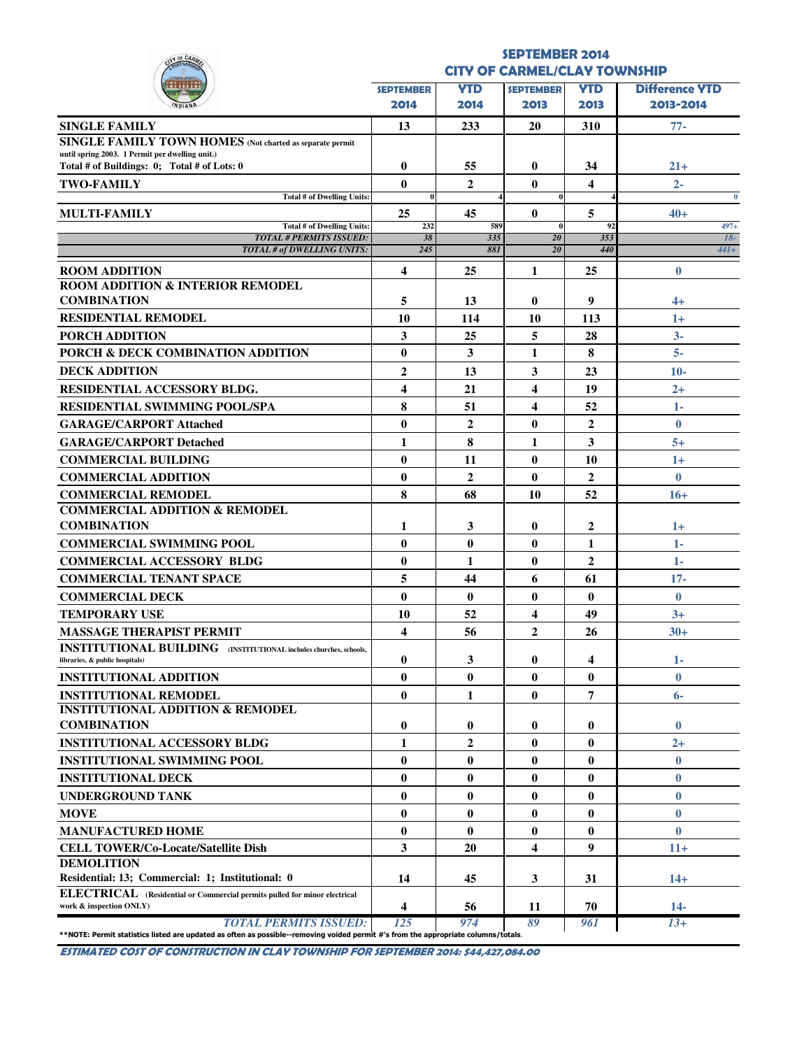| <b>JOF CAA</b>                                                                                                                     |                                     |                    | <b>SEPTEMBER 2014</b>    |                  |                       |
|------------------------------------------------------------------------------------------------------------------------------------|-------------------------------------|--------------------|--------------------------|------------------|-----------------------|
|                                                                                                                                    | <b>CITY OF CARMEL/CLAY TOWNSHIP</b> |                    |                          |                  |                       |
|                                                                                                                                    | <b>SEPTEMBER</b>                    | <b>YTD</b>         | <b>SEPTEMBER</b>         | <b>YTD</b>       | <b>Difference YTD</b> |
|                                                                                                                                    | 2014                                | 2014               | 2013                     | 2013             | 2013-2014             |
| <b>SINGLE FAMILY</b>                                                                                                               | 13                                  | 233                | 20                       | 310              | $77-$                 |
| <b>SINGLE FAMILY TOWN HOMES</b> (Not charted as separate permit                                                                    |                                     |                    |                          |                  |                       |
| until spring 2003. 1 Permit per dwelling unit.)<br>Total # of Buildings: 0; Total # of Lots: 0                                     | $\bf{0}$                            |                    |                          |                  |                       |
|                                                                                                                                    |                                     | 55<br>$\mathbf{2}$ | $\bf{0}$                 | 34<br>4          | $21+$                 |
| <b>TWO-FAMILY</b><br><b>Total # of Dwelling Units:</b>                                                                             | $\mathbf{0}$<br>$\bf{0}$            |                    | $\mathbf{0}$<br>$\bf{0}$ |                  | $2 -$<br>$\mathbf{0}$ |
| <b>MULTI-FAMILY</b>                                                                                                                | 25                                  | 45                 | $\bf{0}$                 | 5                | $40+$                 |
| <b>Total # of Dwelling Units:</b>                                                                                                  | 232                                 | 589                | $\bf{0}$                 | 92               | $497+$                |
| <b>TOTAL # PERMITS ISSUED:</b><br><b>TOTAL # of DWELLING UNITS:</b>                                                                | 38<br>245                           | 335<br>881         | 20<br>20                 | 353<br>440       | $18-$<br>$44I+$       |
|                                                                                                                                    |                                     |                    |                          |                  |                       |
| <b>ROOM ADDITION</b><br><b>ROOM ADDITION &amp; INTERIOR REMODEL</b>                                                                | $\overline{\mathbf{4}}$             | 25                 | 1                        | 25               | $\bf{0}$              |
| <b>COMBINATION</b>                                                                                                                 | 5                                   | 13                 | $\bf{0}$                 | 9                | $4+$                  |
| <b>RESIDENTIAL REMODEL</b>                                                                                                         | 10                                  | 114                | 10                       | 113              | $1+$                  |
| PORCH ADDITION                                                                                                                     | 3                                   | 25                 | 5                        | 28               | $3-$                  |
| PORCH & DECK COMBINATION ADDITION                                                                                                  | $\mathbf{0}$                        | 3                  | 1                        | 8                | $5-$                  |
| <b>DECK ADDITION</b>                                                                                                               | $\overline{2}$                      | 13                 | $\mathbf{3}$             | 23               | $10-$                 |
| <b>RESIDENTIAL ACCESSORY BLDG.</b>                                                                                                 | $\overline{\mathbf{4}}$             | 21                 | 4                        | 19               | $^{2+}$               |
| <b>RESIDENTIAL SWIMMING POOL/SPA</b>                                                                                               | 8                                   | 51                 | $\overline{\mathbf{4}}$  | 52               | $1-$                  |
| <b>GARAGE/CARPORT Attached</b>                                                                                                     | $\mathbf{0}$                        | $\mathbf{2}$       | $\bf{0}$                 | $\mathbf{2}$     | $\bf{0}$              |
| <b>GARAGE/CARPORT Detached</b>                                                                                                     | 1                                   | 8                  | 1                        | 3                | $5+$                  |
| <b>COMMERCIAL BUILDING</b>                                                                                                         | $\bf{0}$                            | 11                 | $\bf{0}$                 | 10               | $1+$                  |
| <b>COMMERCIAL ADDITION</b>                                                                                                         | $\bf{0}$                            | $\overline{2}$     | $\bf{0}$                 | $\overline{2}$   | $\bf{0}$              |
| <b>COMMERCIAL REMODEL</b>                                                                                                          | 8                                   | 68                 | 10                       | 52               | $16+$                 |
| <b>COMMERCIAL ADDITION &amp; REMODEL</b>                                                                                           |                                     |                    |                          |                  |                       |
| <b>COMBINATION</b>                                                                                                                 | 1                                   | 3                  | $\bf{0}$                 | 2                | $1+$                  |
| <b>COMMERCIAL SWIMMING POOL</b>                                                                                                    | $\mathbf{0}$                        | $\mathbf{0}$       | $\mathbf{0}$             | 1                | $1-$                  |
| <b>COMMERCIAL ACCESSORY BLDG</b>                                                                                                   | $\bf{0}$                            | 1                  | $\bf{0}$                 | $\overline{2}$   | $1-$                  |
| <b>COMMERCIAL TENANT SPACE</b>                                                                                                     | 5                                   | 44                 | 6                        | 61               | $17 -$                |
| <b>COMMERCIAL DECK</b>                                                                                                             | $\bf{0}$                            | $\bf{0}$           | $\bf{0}$                 | $\bf{0}$         | $\bf{0}$              |
| <b>TEMPORARY USE</b>                                                                                                               | 10                                  | 52                 | 4                        | 49               | $3+$                  |
| <b>MASSAGE THERAPIST PERMIT</b>                                                                                                    | 4                                   | 56                 | $\overline{2}$           | 26               | $30+$                 |
| <b>INSTITUTIONAL BUILDING</b> (INSTITUTIONAL includes churches, schools,                                                           |                                     |                    |                          |                  |                       |
| libraries, & public hospitals)                                                                                                     | $\bf{0}$                            | 3                  | $\bf{0}$                 | 4                | 1-                    |
| <b>INSTITUTIONAL ADDITION</b>                                                                                                      | $\mathbf{0}$                        | $\mathbf{0}$       | $\bf{0}$                 | $\bf{0}$         | $\bf{0}$              |
| <b>INSTITUTIONAL REMODEL</b>                                                                                                       | $\mathbf{0}$                        | 1                  | $\bf{0}$                 | 7                | $6-$                  |
| <b>INSTITUTIONAL ADDITION &amp; REMODEL</b>                                                                                        |                                     |                    |                          |                  |                       |
| <b>COMBINATION</b>                                                                                                                 | $\mathbf{0}$                        | 0                  | $\bf{0}$                 | $\bf{0}$         | $\bf{0}$              |
| <b>INSTITUTIONAL ACCESSORY BLDG</b>                                                                                                | $\mathbf{1}$                        | $\overline{2}$     | $\bf{0}$                 | $\bf{0}$         | $2+$                  |
| <b>INSTITUTIONAL SWIMMING POOL</b>                                                                                                 | $\bf{0}$                            | $\mathbf{0}$       | $\bf{0}$                 | $\bf{0}$         | $\bf{0}$              |
| <b>INSTITUTIONAL DECK</b>                                                                                                          | $\bf{0}$                            | $\bf{0}$           | $\bf{0}$                 | $\bf{0}$         | $\bf{0}$              |
| <b>UNDERGROUND TANK</b>                                                                                                            | $\bf{0}$                            | $\mathbf{0}$       | $\bf{0}$                 | $\bf{0}$         | $\bf{0}$              |
| <b>MOVE</b>                                                                                                                        | $\mathbf{0}$                        | $\mathbf{0}$       | $\bf{0}$                 | $\bf{0}$         | $\bf{0}$              |
| <b>MANUFACTURED HOME</b>                                                                                                           | $\bf{0}$                            | $\bf{0}$           | $\bf{0}$                 | $\bf{0}$         | $\bf{0}$              |
| <b>CELL TOWER/Co-Locate/Satellite Dish</b>                                                                                         | $\mathbf{3}$                        | 20                 | $\overline{\mathbf{4}}$  | $\boldsymbol{9}$ | $11+$                 |
| <b>DEMOLITION</b>                                                                                                                  |                                     |                    |                          |                  |                       |
| Residential: 13; Commercial: 1; Institutional: 0<br>ELECTRICAL (Residential or Commercial permits pulled for minor electrical      | 14                                  | 45                 | 3                        | 31               | $14+$                 |
| work & inspection ONLY)                                                                                                            | 4                                   | 56                 | 11                       | 70               | $14-$                 |
| <b>TOTAL PERMITS ISSUED:</b>                                                                                                       | 125                                 | 974                | 89                       | 961              | $13+$                 |
| **NOTE: Permit statistics listed are updated as often as possible--removing voided permit #'s from the appropriate columns/totals. |                                     |                    |                          |                  |                       |

ESTIMATED COST OF CONSTRUCTION IN CLAY TOWNSHIP FOR SEPTEMBER 2014: \$44,427,084.00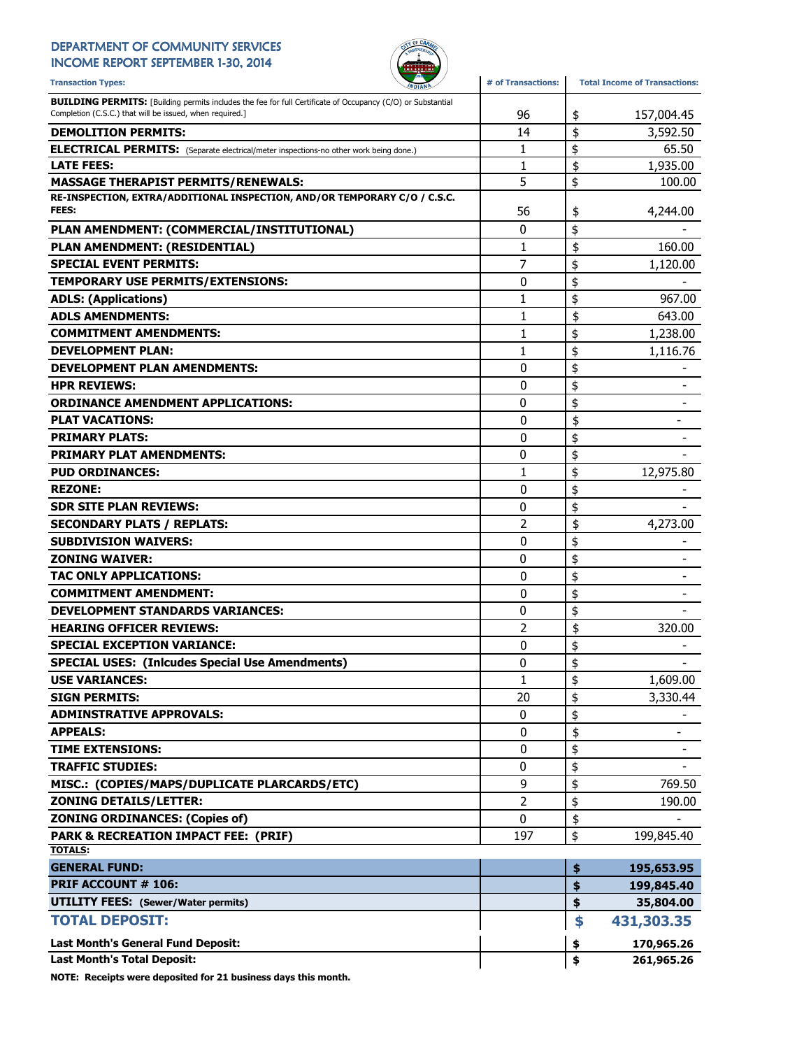## DEPARTMENT OF COMMUNITY SERVICES

INCOME REPORT SEPTEMBER 1-30, 2014



| <b>Transaction Types:</b>                                                                                                                                                      | # of Transactions: |    | <b>Total Income of Transactions:</b> |
|--------------------------------------------------------------------------------------------------------------------------------------------------------------------------------|--------------------|----|--------------------------------------|
| <b>BUILDING PERMITS:</b> [Building permits includes the fee for full Certificate of Occupancy (C/O) or Substantial<br>Completion (C.S.C.) that will be issued, when required.] | 96                 | \$ | 157,004.45                           |
| <b>DEMOLITION PERMITS:</b>                                                                                                                                                     | 14                 | \$ | 3,592.50                             |
| <b>ELECTRICAL PERMITS:</b> (Separate electrical/meter inspections-no other work being done.)                                                                                   | 1                  | \$ | 65.50                                |
| <b>LATE FEES:</b>                                                                                                                                                              | 1                  | \$ | 1,935.00                             |
| <b>MASSAGE THERAPIST PERMITS/RENEWALS:</b>                                                                                                                                     | 5                  | \$ | 100.00                               |
| RE-INSPECTION, EXTRA/ADDITIONAL INSPECTION, AND/OR TEMPORARY C/O / C.S.C.                                                                                                      |                    |    |                                      |
| FEES:                                                                                                                                                                          | 56                 | \$ | 4,244.00                             |
| PLAN AMENDMENT: (COMMERCIAL/INSTITUTIONAL)                                                                                                                                     | 0                  | \$ |                                      |
| PLAN AMENDMENT: (RESIDENTIAL)                                                                                                                                                  | 1                  | \$ | 160.00                               |
| <b>SPECIAL EVENT PERMITS:</b>                                                                                                                                                  | 7                  | \$ | 1,120.00                             |
| TEMPORARY USE PERMITS/EXTENSIONS:                                                                                                                                              | 0                  | \$ |                                      |
| <b>ADLS: (Applications)</b>                                                                                                                                                    | 1                  | \$ | 967.00                               |
| <b>ADLS AMENDMENTS:</b>                                                                                                                                                        | $\mathbf{1}$       | \$ | 643.00                               |
| <b>COMMITMENT AMENDMENTS:</b>                                                                                                                                                  | 1                  | \$ | 1,238.00                             |
| <b>DEVELOPMENT PLAN:</b>                                                                                                                                                       | 1                  | \$ | 1,116.76                             |
| <b>DEVELOPMENT PLAN AMENDMENTS:</b>                                                                                                                                            | 0                  | \$ |                                      |
| <b>HPR REVIEWS:</b>                                                                                                                                                            | 0                  | \$ |                                      |
| <b>ORDINANCE AMENDMENT APPLICATIONS:</b>                                                                                                                                       | 0                  | \$ |                                      |
| <b>PLAT VACATIONS:</b>                                                                                                                                                         | 0                  | \$ |                                      |
| <b>PRIMARY PLATS:</b>                                                                                                                                                          | 0                  | \$ |                                      |
| <b>PRIMARY PLAT AMENDMENTS:</b>                                                                                                                                                | 0                  | \$ |                                      |
| <b>PUD ORDINANCES:</b>                                                                                                                                                         | 1                  | \$ | 12,975.80                            |
| <b>REZONE:</b>                                                                                                                                                                 | 0                  | \$ |                                      |
| <b>SDR SITE PLAN REVIEWS:</b>                                                                                                                                                  | 0                  | \$ |                                      |
| <b>SECONDARY PLATS / REPLATS:</b>                                                                                                                                              | 2                  | \$ | 4,273.00                             |
| <b>SUBDIVISION WAIVERS:</b>                                                                                                                                                    | 0                  | \$ |                                      |
| <b>ZONING WAIVER:</b>                                                                                                                                                          | 0                  | \$ |                                      |
| <b>TAC ONLY APPLICATIONS:</b>                                                                                                                                                  | 0                  | \$ |                                      |
| <b>COMMITMENT AMENDMENT:</b>                                                                                                                                                   | 0                  | \$ |                                      |
| <b>DEVELOPMENT STANDARDS VARIANCES:</b>                                                                                                                                        | 0                  | \$ |                                      |
| <b>HEARING OFFICER REVIEWS:</b>                                                                                                                                                | 2                  | \$ | 320.00                               |
| <b>SPECIAL EXCEPTION VARIANCE:</b>                                                                                                                                             | 0                  | \$ |                                      |
| <b>SPECIAL USES: (Inicudes Special Use Amendments)</b>                                                                                                                         | 0                  | ¢  |                                      |
| <b>USE VARIANCES:</b>                                                                                                                                                          | $\mathbf{1}$       | \$ | 1,609.00                             |
| <b>SIGN PERMITS:</b>                                                                                                                                                           | 20                 | \$ | 3,330.44                             |
| <b>ADMINSTRATIVE APPROVALS:</b>                                                                                                                                                | $\mathbf 0$        | \$ |                                      |
| <b>APPEALS:</b>                                                                                                                                                                | 0                  | \$ | -                                    |
| <b>TIME EXTENSIONS:</b>                                                                                                                                                        | 0                  | \$ |                                      |
| <b>TRAFFIC STUDIES:</b>                                                                                                                                                        | 0                  | \$ |                                      |
| MISC.: (COPIES/MAPS/DUPLICATE PLARCARDS/ETC)                                                                                                                                   | 9                  | \$ | 769.50                               |
| <b>ZONING DETAILS/LETTER:</b>                                                                                                                                                  | $\overline{2}$     | \$ | 190.00                               |
| <b>ZONING ORDINANCES: (Copies of)</b>                                                                                                                                          | $\mathbf 0$        | \$ |                                      |
| <b>PARK &amp; RECREATION IMPACT FEE: (PRIF)</b>                                                                                                                                | 197                | \$ | 199,845.40                           |
| <b>TOTALS:</b>                                                                                                                                                                 |                    |    |                                      |
| <b>GENERAL FUND:</b>                                                                                                                                                           |                    | \$ | 195,653.95                           |
| PRIF ACCOUNT # 106:                                                                                                                                                            |                    | \$ | 199,845.40                           |
| <b>UTILITY FEES:</b> (Sewer/Water permits)                                                                                                                                     |                    | \$ | 35,804.00                            |
| <b>TOTAL DEPOSIT:</b>                                                                                                                                                          |                    | \$ | 431,303.35                           |
| <b>Last Month's General Fund Deposit:</b>                                                                                                                                      |                    | \$ | 170,965.26                           |
| <b>Last Month's Total Deposit:</b>                                                                                                                                             |                    | \$ | 261,965.26                           |

NOTE: Receipts were deposited for 21 business days this month.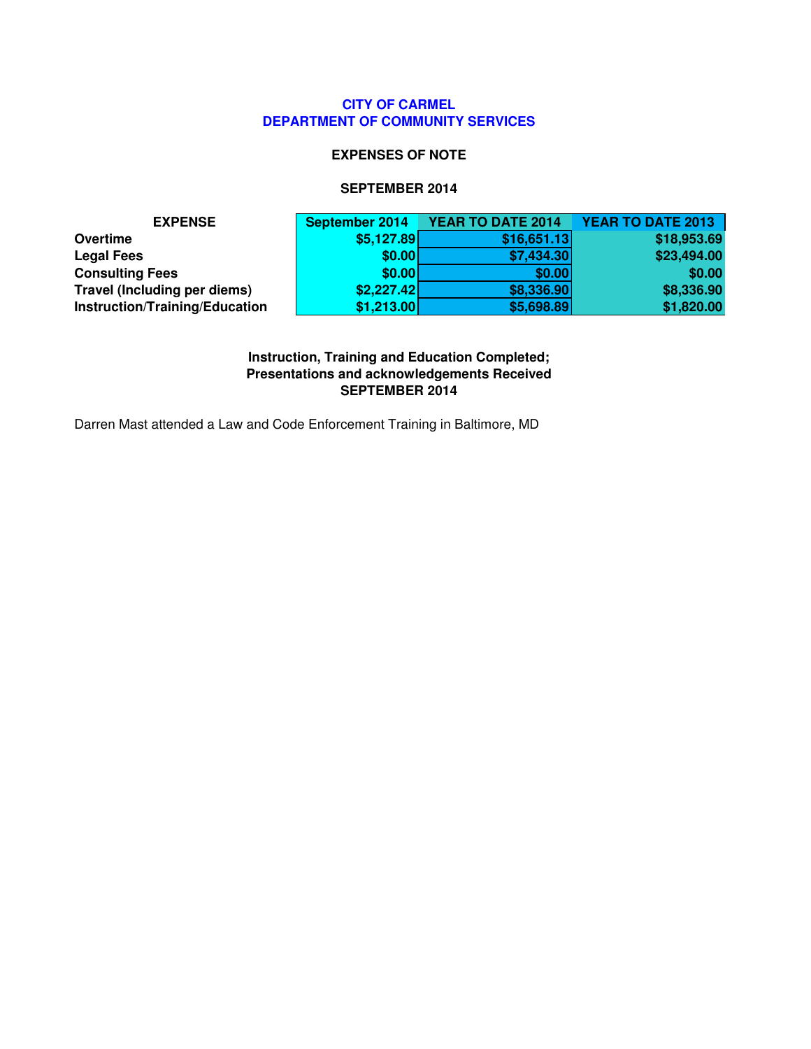#### **CITY OF CARMEL DEPARTMENT OF COMMUNITY SERVICES**

#### **EXPENSES OF NOTE**

#### **SEPTEMBER 2014**

| <b>EXPENSE</b>                 | September 2014 | YEAR TO DATE 2014 | <b>YEAR TO DATE 2013</b> |
|--------------------------------|----------------|-------------------|--------------------------|
| Overtime                       | \$5,127.89     | \$16,651.13       | \$18,953.69              |
| <b>Legal Fees</b>              | \$0.00         | \$7,434.30        | \$23,494.00              |
| <b>Consulting Fees</b>         | \$0.00         | \$0.00            | \$0.00                   |
| Travel (Including per diems)   | \$2,227.42     | \$8,336.90        | \$8,336.90               |
| Instruction/Training/Education | \$1,213.00     | \$5,698.89        | \$1,820.00               |

**Instruction, Training and Education Completed; Presentations and acknowledgements Received SEPTEMBER 2014**

Darren Mast attended a Law and Code Enforcement Training in Baltimore, MD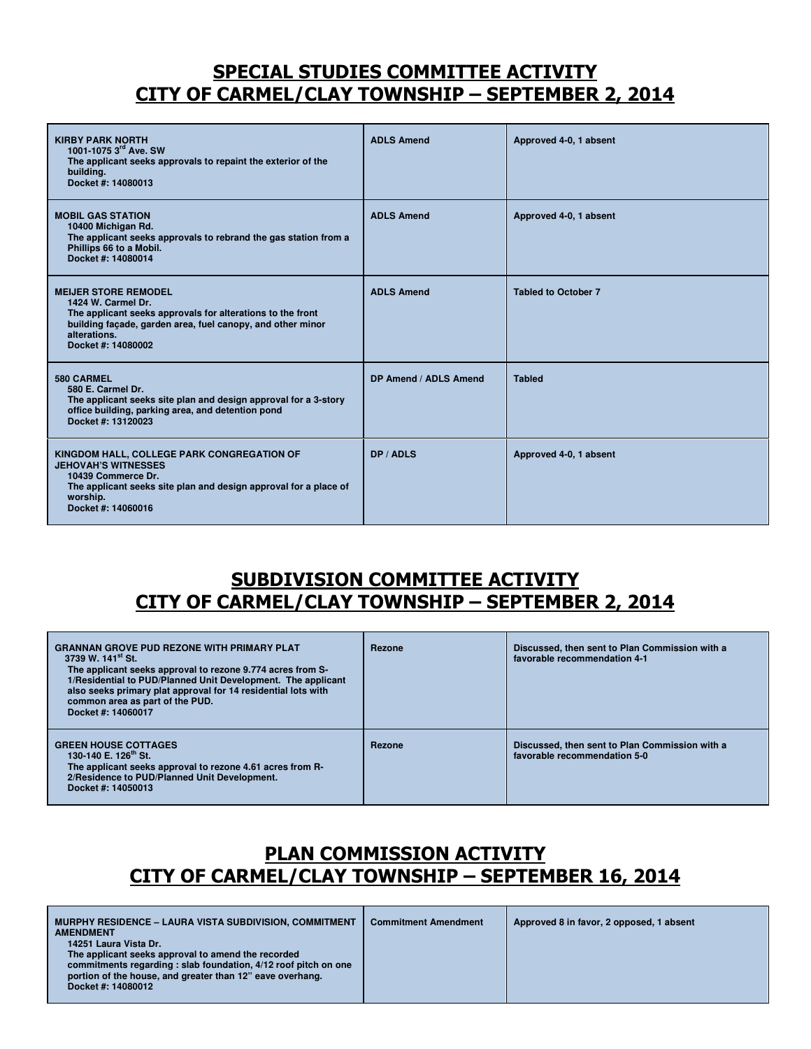## SPECIAL STUDIES COMMITTEE ACTIVITY CITY OF CARMEL/CLAY TOWNSHIP – SEPTEMBER 2, 2014

| <b>KIRBY PARK NORTH</b><br>1001-1075 3 <sup>rd</sup> Ave. SW<br>The applicant seeks approvals to repaint the exterior of the<br>building.<br>Docket #: 14080013                                                     | <b>ADLS Amend</b>     | Approved 4-0, 1 absent     |
|---------------------------------------------------------------------------------------------------------------------------------------------------------------------------------------------------------------------|-----------------------|----------------------------|
| <b>MOBIL GAS STATION</b><br>10400 Michigan Rd.<br>The applicant seeks approvals to rebrand the gas station from a<br>Phillips 66 to a Mobil.<br>Docket #: 14080014                                                  | <b>ADLS Amend</b>     | Approved 4-0, 1 absent     |
| <b>MEIJER STORE REMODEL</b><br>1424 W. Carmel Dr.<br>The applicant seeks approvals for alterations to the front<br>building façade, garden area, fuel canopy, and other minor<br>alterations.<br>Docket #: 14080002 | <b>ADLS Amend</b>     | <b>Tabled to October 7</b> |
| 580 CARMEL<br>580 E. Carmel Dr.<br>The applicant seeks site plan and design approval for a 3-story<br>office building, parking area, and detention pond<br>Docket #: 13120023                                       | DP Amend / ADLS Amend | <b>Tabled</b>              |
| KINGDOM HALL, COLLEGE PARK CONGREGATION OF<br><b>JEHOVAH'S WITNESSES</b><br>10439 Commerce Dr.<br>The applicant seeks site plan and design approval for a place of<br>worship.<br>Docket #: 14060016                | DP / ADLS             | Approved 4-0, 1 absent     |

## SUBDIVISION COMMITTEE ACTIVITY CITY OF CARMEL/CLAY TOWNSHIP – SEPTEMBER 2, 2014

| <b>GRANNAN GROVE PUD REZONE WITH PRIMARY PLAT</b><br>3739 W. 141 <sup>st</sup> St.<br>The applicant seeks approval to rezone 9.774 acres from S-<br>1/Residential to PUD/Planned Unit Development. The applicant<br>also seeks primary plat approval for 14 residential lots with<br>common area as part of the PUD.<br>Docket #: 14060017 | Rezone | Discussed, then sent to Plan Commission with a<br>favorable recommendation 4-1 |
|--------------------------------------------------------------------------------------------------------------------------------------------------------------------------------------------------------------------------------------------------------------------------------------------------------------------------------------------|--------|--------------------------------------------------------------------------------|
| <b>GREEN HOUSE COTTAGES</b><br>130-140 E. 126 <sup>th</sup> St.<br>The applicant seeks approval to rezone 4.61 acres from R-<br>2/Residence to PUD/Planned Unit Development.<br>Docket #: 14050013                                                                                                                                         | Rezone | Discussed, then sent to Plan Commission with a<br>favorable recommendation 5-0 |

## PLAN COMMISSION ACTIVITY CITY OF CARMEL/CLAY TOWNSHIP – SEPTEMBER 16, 2014

| <b>MURPHY RESIDENCE - LAURA VISTA SUBDIVISION, COMMITMENT</b><br><b>AMENDMENT</b>                                                                                                                                                 | <b>Commitment Amendment</b> | Approved 8 in favor, 2 opposed, 1 absent |
|-----------------------------------------------------------------------------------------------------------------------------------------------------------------------------------------------------------------------------------|-----------------------------|------------------------------------------|
| 14251 Laura Vista Dr.<br>The applicant seeks approval to amend the recorded<br>commitments regarding : slab foundation, 4/12 roof pitch on one<br>portion of the house, and greater than 12" eave overhang.<br>Docket #: 14080012 |                             |                                          |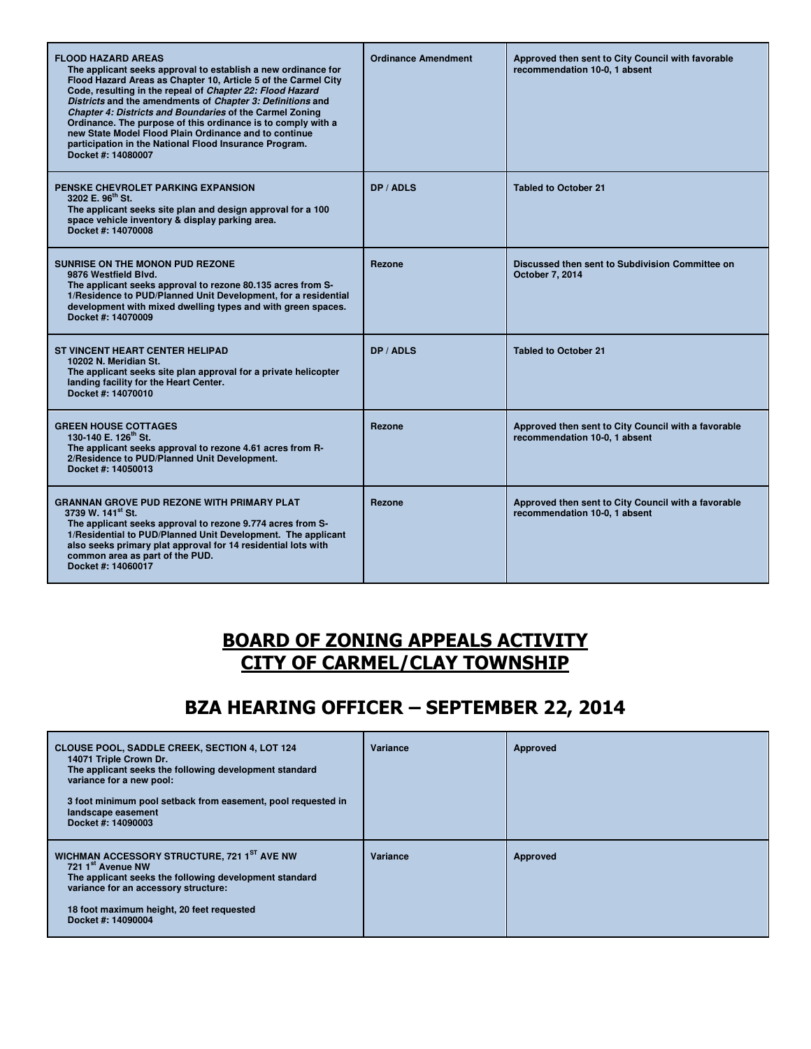| <b>FLOOD HAZARD AREAS</b><br>The applicant seeks approval to establish a new ordinance for<br>Flood Hazard Areas as Chapter 10, Article 5 of the Carmel City<br>Code, resulting in the repeal of Chapter 22: Flood Hazard<br>Districts and the amendments of Chapter 3: Definitions and<br>Chapter 4: Districts and Boundaries of the Carmel Zoning<br>Ordinance. The purpose of this ordinance is to comply with a<br>new State Model Flood Plain Ordinance and to continue<br>participation in the National Flood Insurance Program.<br>Docket #: 14080007 | <b>Ordinance Amendment</b> | Approved then sent to City Council with favorable<br>recommendation 10-0, 1 absent   |
|--------------------------------------------------------------------------------------------------------------------------------------------------------------------------------------------------------------------------------------------------------------------------------------------------------------------------------------------------------------------------------------------------------------------------------------------------------------------------------------------------------------------------------------------------------------|----------------------------|--------------------------------------------------------------------------------------|
| PENSKE CHEVROLET PARKING EXPANSION<br>3202 E. 96 <sup>th</sup> St.<br>The applicant seeks site plan and design approval for a 100<br>space vehicle inventory & display parking area.<br>Docket #: 14070008                                                                                                                                                                                                                                                                                                                                                   | DP / ADLS                  | <b>Tabled to October 21</b>                                                          |
| <b>SUNRISE ON THE MONON PUD REZONE</b><br>9876 Westfield Blvd.<br>The applicant seeks approval to rezone 80.135 acres from S-<br>1/Residence to PUD/Planned Unit Development, for a residential<br>development with mixed dwelling types and with green spaces.<br>Docket #: 14070009                                                                                                                                                                                                                                                                        | Rezone                     | Discussed then sent to Subdivision Committee on<br>October 7, 2014                   |
| <b>ST VINCENT HEART CENTER HELIPAD</b><br>10202 N. Meridian St.<br>The applicant seeks site plan approval for a private helicopter<br>landing facility for the Heart Center.<br>Docket #: 14070010                                                                                                                                                                                                                                                                                                                                                           | DP / ADLS                  | <b>Tabled to October 21</b>                                                          |
| <b>GREEN HOUSE COTTAGES</b><br>130-140 E. 126 <sup>th</sup> St.<br>The applicant seeks approval to rezone 4.61 acres from R-<br>2/Residence to PUD/Planned Unit Development.<br>Docket #: 14050013                                                                                                                                                                                                                                                                                                                                                           | Rezone                     | Approved then sent to City Council with a favorable<br>recommendation 10-0, 1 absent |
| <b>GRANNAN GROVE PUD REZONE WITH PRIMARY PLAT</b><br>3739 W. 141 <sup>st</sup> St.<br>The applicant seeks approval to rezone 9.774 acres from S-<br>1/Residential to PUD/Planned Unit Development. The applicant<br>also seeks primary plat approval for 14 residential lots with<br>common area as part of the PUD.<br>Docket #: 14060017                                                                                                                                                                                                                   | <b>Rezone</b>              | Approved then sent to City Council with a favorable<br>recommendation 10-0, 1 absent |

### BOARD OF ZONING APPEALS ACTIVITY CITY OF CARMEL/CLAY TOWNSHIP

## BZA HEARING OFFICER – SEPTEMBER 22, 2014

| <b>CLOUSE POOL, SADDLE CREEK, SECTION 4, LOT 124</b><br>14071 Triple Crown Dr.<br>The applicant seeks the following development standard<br>variance for a new pool:<br>3 foot minimum pool setback from easement, pool requested in<br>landscape easement<br>Docket #: 14090003 | Variance | Approved |
|----------------------------------------------------------------------------------------------------------------------------------------------------------------------------------------------------------------------------------------------------------------------------------|----------|----------|
| WICHMAN ACCESSORY STRUCTURE, 721 1ST AVE NW<br>721 1 <sup>st</sup> Avenue NW<br>The applicant seeks the following development standard<br>variance for an accessory structure:<br>18 foot maximum height, 20 feet requested<br>Docket #: 14090004                                | Variance | Approved |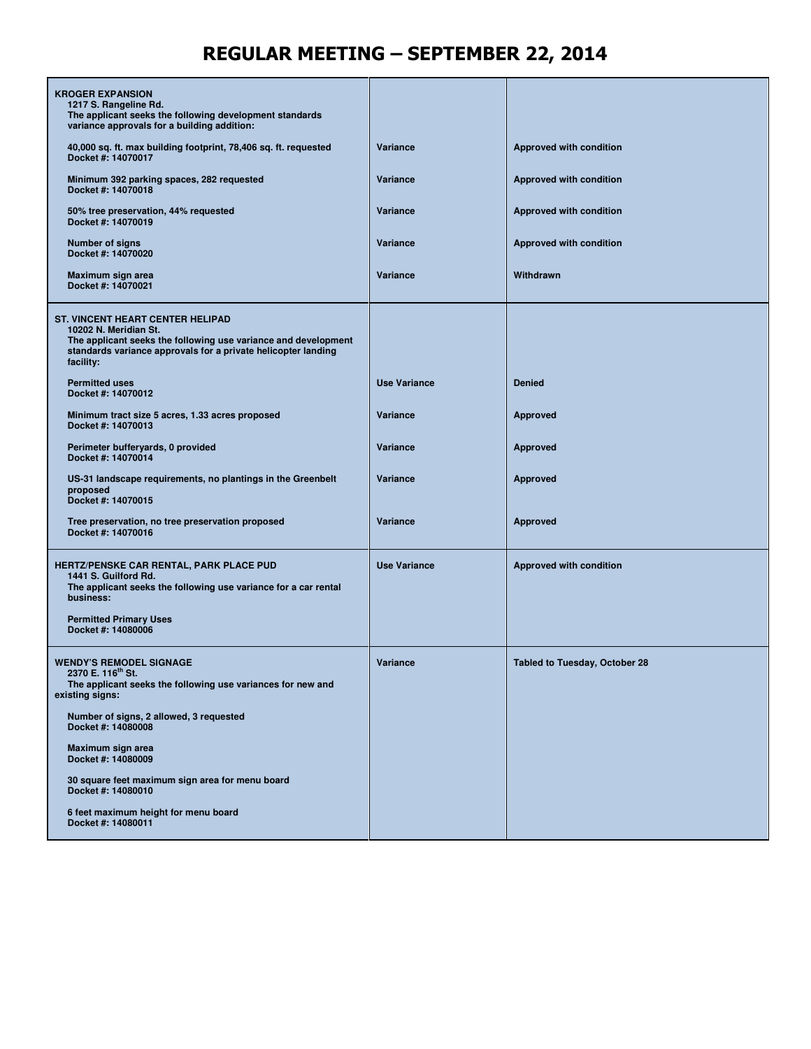## REGULAR MEETING – SEPTEMBER 22, 2014

| <b>KROGER EXPANSION</b><br>1217 S. Rangeline Rd.<br>The applicant seeks the following development standards<br>variance approvals for a building addition:                                                       |                     |                                      |
|------------------------------------------------------------------------------------------------------------------------------------------------------------------------------------------------------------------|---------------------|--------------------------------------|
| 40,000 sq. ft. max building footprint, 78,406 sq. ft. requested<br>Docket #: 14070017                                                                                                                            | Variance            | Approved with condition              |
| Minimum 392 parking spaces, 282 requested<br>Docket #: 14070018                                                                                                                                                  | Variance            | Approved with condition              |
| 50% tree preservation, 44% requested<br>Docket #: 14070019                                                                                                                                                       | Variance            | Approved with condition              |
| <b>Number of signs</b><br>Docket #: 14070020                                                                                                                                                                     | Variance            | Approved with condition              |
| Maximum sign area<br>Docket #: 14070021                                                                                                                                                                          | Variance            | Withdrawn                            |
| <b>ST. VINCENT HEART CENTER HELIPAD</b><br>10202 N. Meridian St.<br>The applicant seeks the following use variance and development<br>standards variance approvals for a private helicopter landing<br>facility: |                     |                                      |
| <b>Permitted uses</b><br>Docket #: 14070012                                                                                                                                                                      | <b>Use Variance</b> | <b>Denied</b>                        |
| Minimum tract size 5 acres, 1.33 acres proposed<br>Docket #: 14070013                                                                                                                                            | Variance            | <b>Approved</b>                      |
| Perimeter bufferyards, 0 provided<br>Docket #: 14070014                                                                                                                                                          | Variance            | <b>Approved</b>                      |
| US-31 landscape requirements, no plantings in the Greenbelt<br>proposed<br>Docket #: 14070015                                                                                                                    | Variance            | <b>Approved</b>                      |
| Tree preservation, no tree preservation proposed<br>Docket #: 14070016                                                                                                                                           | Variance            | <b>Approved</b>                      |
| <b>HERTZ/PENSKE CAR RENTAL, PARK PLACE PUD</b><br>1441 S. Guilford Rd.<br>The applicant seeks the following use variance for a car rental<br>business:<br><b>Permitted Primary Uses</b><br>Docket #: 14080006    | <b>Use Variance</b> | Approved with condition              |
| <b>WENDY'S REMODEL SIGNAGE</b><br>2370 E. 116th St.<br>The applicant seeks the following use variances for new and<br>existing signs:                                                                            | Variance            | <b>Tabled to Tuesday, October 28</b> |
| Number of signs, 2 allowed, 3 requested<br>Docket #: 14080008                                                                                                                                                    |                     |                                      |
| Maximum sign area<br>Docket #: 14080009                                                                                                                                                                          |                     |                                      |
| 30 square feet maximum sign area for menu board<br>Docket #: 14080010                                                                                                                                            |                     |                                      |
| 6 feet maximum height for menu board<br>Docket #: 14080011                                                                                                                                                       |                     |                                      |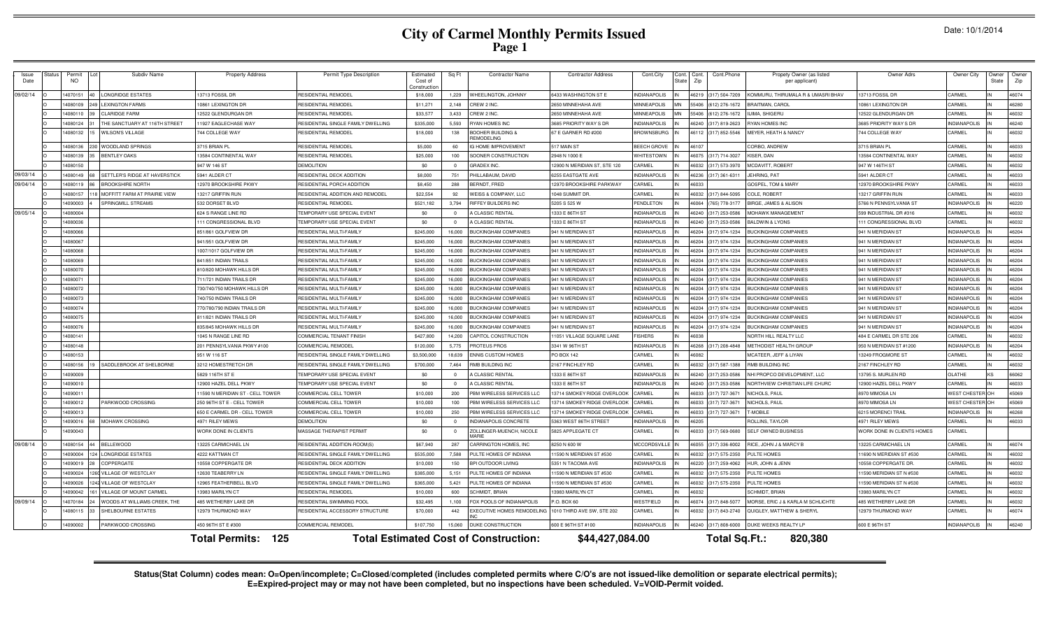# **City of Carmel Monthly Permits Issued Page 1**

| Issue<br>Date | Status | Subdiv Name<br>Permit<br><b>NO</b>         | <b>Property Address</b>          | Permit Type Description            | Estimated<br>Cost of<br>onstructio | Sq Ft                    | <b>Contractor Name</b>                       | <b>Contractor Address</b>    | Cont.City                | Cont. Cont.<br>Zip<br>State | Cont.Phone     | Propety Owner (as listed<br>per applicant) | Owner Adrs                  | Owner City          | Owner<br>State | Owne<br>Zip |
|---------------|--------|--------------------------------------------|----------------------------------|------------------------------------|------------------------------------|--------------------------|----------------------------------------------|------------------------------|--------------------------|-----------------------------|----------------|--------------------------------------------|-----------------------------|---------------------|----------------|-------------|
| 09/02/14      |        | 4070151<br><b>LONGRIDGE ESTATES</b>        | 13713 FOSSIL DR                  | RESIDENTIAL REMODEL                | \$18,000                           | 1,229                    | <b>WHEELINGTON, JOHNNY</b>                   | <b>6433 WASHINGTON ST E</b>  | NDIANAPOLIS              | 46219                       | 317) 504-7209  | (OMMURU, THIRUMALA R & UMASRI BHA)         | 13713 FOSSIL DR             | CARMEL              |                | 46074       |
|               |        | 14080109<br><b>LEXINGTON FARMS</b>         | 10861 LEXINGTON DR               | <b>ESIDENTIAL REMODEL</b>          | \$11,271                           | 2,148                    | CREW 2 INC.                                  | <b>650 MINNEHAHA AVE</b>     | <b>IINNEAPOLIS</b>       | 55406                       | 612) 276-1672  | <b>BRAITMAN, CAROL</b>                     | 10861 LEXINGTON DR          | CARMEL              |                | 46280       |
|               |        | 14080110<br><b>CLARIDGE FARM</b>           | 12522 GLENDURGAN DF              | RESIDENTIAL REMODE                 | \$33,577                           | 3.433                    | CREW 2 INC.                                  | 2650 MINNEHAHA AVE           | <b><i>INNEAPOLIS</i></b> | 55406                       | (612) 276-1672 | <b>JIMA, SHIGERL</b>                       | 12522 GLENDURGAN DI         | CARMEL              |                | 46032       |
|               |        | THE SANCTUARY AT 116TH STREET<br>14080124  | 11927 EAGLECHASE WAY             | RESIDENTIAL SINGLE FAMILY DWELLING | \$335,000                          | 5,593                    | <b>YAN HOMES INC</b>                         | 3685 PRIORITY WAY S DF       | NDIANAPOLIS              | 46240                       | (317) 819-2623 | YAN HOMES INC                              | 3685 PRIORITY WAY S DF      | <b>INDIANAPOLIS</b> |                | 46240       |
|               |        | 14080132<br><b>WILSON'S VILLAGE</b>        | 744 COLLEGE WAY                  | RESIDENTIAL REMODEL                | \$18,000                           | 138                      | BOOHER BUILDING &<br><b>REMODELING</b>       | 67 E GARNER RD #200          | <b>BROWNSBURG</b>        | 46112                       | 317) 852-5546  | MEYER, HEATH & NANCY                       | 744 COLLEGE WAY             | CARMEL              |                | 46032       |
|               |        | WOODLAND SPRINGS<br>14080136               | 3715 BRIAN PL                    | RESIDENTIAL REMODEL                | \$5,000                            | 60                       | <b>G HOME IMPROVEMENT</b>                    | 517 MAIN ST                  | <b>BEECH GROVE</b>       | 46107                       |                | CORBO, ANDREW                              | 3715 BRIAN PL               | CARMEL              |                | 46033       |
|               |        | 14080139<br><b>BENTLEY OAKS</b>            | 13584 CONTINENTAL WAY            | RESIDENTIAL REMODEL                | \$25,000                           | 100                      | SOONER CONSTRUCTION                          | 2948 N 1000 E                | <b>VHITESTOWN</b>        | 6075                        | (317) 714-3027 | (ISER, DAN                                 | 13584 CONTINENTAL WAY       | CARMEL              |                | 46032       |
|               |        | 14080150                                   | 947 W 146 ST                     | <b>DEMOLITION</b>                  | \$0                                |                          | <b>GRADEX INC</b>                            | 12900 N MERIDIAN ST, STE 120 | ARMEL                    | 6032                        | 317) 573-397   | <b>ICDAVITT, ROBERT</b>                    | 947 W 146TH ST              | CARMEL              |                | 46032       |
| 09/03/14      |        | 14080149<br>SETTLER'S RIDGE AT HAVERSTICK  | 5941 ALDER CT                    | RESIDENTIAL DECK ADDITION          | \$8,000                            | 751                      | PHILLABAUM, DAVID                            | 6255 EASTGATE AVE            | NDIANAPOLIS              | 46236                       | 317) 361-631   | JEHRING, PAT                               | 5941 ALDER CT               | CARMEL              |                | 46033       |
| 09/04/14      |        | 14080119<br><b>BROOKSHIRE NORTI</b>        | 12970 BROOKSHIRE PKWY            | RESIDENTIAL PORCH ADDITION         | \$8,450                            | 288                      | BERNDT, FRED                                 | 12970 BROOKSHIRE PARKWAY     | CARMEL                   | 46033                       |                | GOSPEL, TOM & MARY                         | 12970 BROOKSHIRE PKWY       | CARMEL              |                | 46033       |
|               |        | 14080157<br>MOFFITT FARM AT PRAIRIE VIEW   | 13217 GRIFFIN RUN                | RESIDENTIAL ADDITION AND REMODEL   | \$22,554                           | 92                       | <b>WEISS &amp; COMPANY, LLC</b>              | 1048 SUMMIT DR               | CARMEL                   | 46032                       | (317) 844-5095 | COLE, ROBERT                               | 13217 GRIFFIN RUN           | CARMEL              |                | 46033       |
|               |        | <b>SPRINGMILL STREAMS</b><br>14090003      | 532 DORSET BLVD                  | <b>RESIDENTIAL REMODEL</b>         | \$521,182                          | 3,794                    | RIFFEY BUILDERS INC                          | 5205 S 525 W                 | PENDLETON                | 46064                       | (765) 778-317  | BIRGE, JAMES & ALISON                      | 5766 N PENNSYLVANIA ST      | <b>INDIANAPOLIS</b> |                | 46220       |
| 09/05/14      |        | 14080004                                   | 624 S RANGE LINE RD              | TEMPORARY USE SPECIAL EVENT        | \$0                                | $\Omega$                 | A CLASSIC RENTAL                             | 1333 E 86TH ST               | <b>INDIANAPOLIS</b>      | 46240                       | (317) 253-0586 | MOHAWK MANAGEMEN                           | 599 INDUSTRIAL DR #316      | CARMEL              |                | 46032       |
|               |        | 14080036                                   | 111 CONGRESSIONAL BLVD           | TEMPORARY USE SPECIAL EVENT        | \$0                                | $\sim$                   | A CLASSIC RENTAL                             | 1333 E 86TH ST               | <b>INDIANAPOLIS</b>      | 46240                       | (317) 253-058  | BALDWIN & LYONS                            | 111 CONGRESSIONAL BLVD      | CARMEL              |                | 46032       |
|               |        | 14080066                                   | 851/861 GOLFVIEW DR              | RESIDENTIAL MULTI-FAMILY           | \$245,000                          | 16,000                   | <b>BUCKINGHAM COMPANIES</b>                  | 941 N MERIDIAN ST            | NDIANAPOLIS              | 46204                       | (317) 974-1234 | <b>BUCKINGHAM COMPANIES</b>                | 941 N MERIDIAN ST           | <b>INDIANAPOLIS</b> |                | 46204       |
|               |        | 14080067                                   | 941/951 GOLFVIEW DR              | <b>RESIDENTIAL MULTI-FAMILY</b>    | \$245,000                          | 16,000                   | <b>BUCKINGHAM COMPANIES</b>                  | 941 N MERIDIAN ST            | <b>INDIANAPOLIS</b>      | 46204                       | (317) 974-1234 | <b>BUCKINGHAM COMPANIES</b>                | 941 N MERIDIAN ST           | <b>INDIANAPOLIS</b> |                | 46204       |
|               |        | 14080068                                   | 1007/1017 GOLFVIEW DR            | RESIDENTIAL MULTI-FAMILY           | \$245,000                          | 16,000                   | <b>BUCKINGHAM COMPANIES</b>                  | 941 N MERIDIAN ST            | NDIANAPOLIS              | 46204                       | (317) 974-1234 | <b>BUCKINGHAM COMPANIES</b>                | 941 N MERIDIAN ST           | <b>INDIANAPOLIS</b> |                | 46204       |
|               |        | 14080069                                   | 841/851 INDIAN TRAILS            | RESIDENTIAL MULTI-FAMILY           | \$245,000                          | 16.000                   | <b>BUCKINGHAM COMPANIES</b>                  | 941 N MERIDIAN ST            | <b>INDIANAPOLIS</b>      | 46204                       | (317) 974-1234 | <b>BUCKINGHAM COMPANIES</b>                | 941 N MERIDIAN ST           | <b>INDIANAPOLIS</b> |                | 46204       |
|               |        | 14080070                                   | 810/820 MOHAWK HILLS DR          | RESIDENTIAL MULTI-FAMILY           | \$245,000                          | 16,000                   | <b>BUCKINGHAM COMPANIES</b>                  | 941 N MERIDIAN ST            | NDIANAPOLIS              | 46204                       | 317) 974-1234  | <b>IUCKINGHAM COMPANIES</b>                | 941 N MERIDIAN ST           | <b>INDIANAPOLIS</b> |                | 46204       |
|               |        | 14080071                                   | 711/721 INDIAN TRAILS DR         | RESIDENTIAL MULTI-FAMILY           | \$245,000                          | 16,000                   | <b>BUCKINGHAM COMPANIES</b>                  | 941 N MERIDIAN ST            | <b>INDIANAPOLIS</b>      | 46204                       | 317) 974-1234  | <b>IUCKINGHAM COMPANIES</b>                | 941 N MERIDIAN ST           | <b>INDIANAPOLIS</b> |                | 46204       |
|               |        | 14080072                                   | 730/740/750 MOHAWK HILLS DE      | <b>RESIDENTIAL MULTI-FAMILY</b>    | \$245,000                          | 16,000                   | <b>BUCKINGHAM COMPANIES</b>                  | 941 N MERIDIAN ST            | <b>INDIANAPOLIS</b>      | 46204                       | (317) 974-1234 | <b>BUCKINGHAM COMPANIES</b>                | 941 N MERIDIAN ST           | <b>INDIANAPOLIS</b> |                | 46204       |
|               |        | 14080073                                   | 740/750 INDIAN TRAILS DR         | RESIDENTIAL MULTI-FAMILY           | \$245,000                          | 16,000                   | <b>BUCKINGHAM COMPANIES</b>                  | 941 N MERIDIAN ST            | <b>INDIANAPOLIS</b>      | 46204                       | (317) 974-1234 | <b>BUCKINGHAM COMPANIES</b>                | 941 N MERIDIAN ST           | <b>INDIANAPOLIS</b> |                | 46204       |
|               |        | 14080074                                   | 770/780/790 INDIAN TRAILS DF     | RESIDENTIAL MULTI-FAMILY           | \$245,000                          | 16,000                   | <b>BUCKINGHAM COMPANIES</b>                  | 941 N MERIDIAN ST            | <b>INDIANAPOLIS</b>      | 46204                       | (317) 974-1234 | <b>BUCKINGHAM COMPANIES</b>                | 941 N MERIDIAN ST           | <b>INDIANAPOLIS</b> |                | 46204       |
|               |        | 14080075                                   | 811/821 INDIAN TRAILS DE         | RESIDENTIAL MULTI-FAMILY           | \$245,000                          | 16,000                   | <b>BLICKINGHAM COMPANIES</b>                 | 941 N MERIDIAN ST            | NDIANAPOLIS              | 46204                       | (317) 974-1234 | <b>3UCKINGHAM COMPANIES</b>                | 941 N MERIDIAN ST           | <b>INDIANAPOLIS</b> |                | 46204       |
|               |        | 14080076                                   | 835/845 MOHAWK HILLS DR          | RESIDENTIAL MULTI-FAMILY           | \$245,000                          | 16,000                   | <b>BUCKINGHAM COMPANIES</b>                  | 941 N MERIDIAN ST            | <b>INDIANAPOLIS</b>      | 46204                       | (317) 974-1234 | <b>BUCKINGHAM COMPANIES</b>                | 941 N MERIDIAN ST           | <b>INDIANAPOLIS</b> |                | 46204       |
|               |        | 14080141                                   | 1045 N RANGE LINE RD             | COMMERCIAL TENANT FINISH           | \$427,800                          | 14,200                   | CAPITOL CONSTRUCTION                         | 11051 VILLAGE SQUARE LANE    | <b>ISHERS</b>            | 46038                       |                | <b>JORTH HILL REALTY LLC</b>               | 484 E CARMEL DR STE 206     | CARMEL              |                | 46032       |
|               |        | 14080148                                   | 201 PENNSYLVANIA PKWY #100       | COMMERCIAL REMODEL                 | \$120,000                          | 5,775                    | <b>PROTEUS PROS</b>                          | 3341 W 96TH ST               | NDIANAPOLIS              | 46268                       | (317) 208-4848 | <b><i>METHODIST HEALTH GROUP</i></b>       | 950 N MERIDIAN ST #1200     | <b>INDIANAPOLIS</b> |                | 46204       |
|               |        | 14080153                                   | 951 W 116 ST                     | RESIDENTIAL SINGLE FAMILY DWELLING | \$3,500,000                        | 18,639                   | <b>ENNIS CUSTOM HOMES</b>                    | PO BOX 142                   | ARMEL                    | 46082                       |                | <b>ICATEER, JEFF &amp; LIYAN</b>           | 13249 FROGMORE ST           | CARMEL              |                | 46032       |
|               |        | 14080156<br>SADDLEBROOK AT SHELBORNE       | 3212 HOMESTRETCH DR              | RESIDENTIAL SINGLE FAMILY DWELLING | \$700,000                          | 7.464                    | RMB BUILDING INC                             | 2167 FINCHLEY RD             | CARMEL                   | 46032                       | (317) 587-1388 | <b>RMB BUILDING INC</b>                    | 2167 FINCHLEY RD            | CARMEL              |                | 46032       |
|               |        | 14090009                                   | 5829 116TH ST E                  | <b>FEMPORARY USE SPECIAL EVENT</b> | \$0                                | $\overline{0}$           | A CLASSIC RENTAL                             | 1333 E 86TH ST               | NDIANAPOLIS              | 46240                       | 317) 253-0586  | VHI PROPCO DEVELOPMENT, LLC                | 13795 S. MURLEN RD          | OLATHE              |                | 66062       |
|               |        | 14090010                                   | 12900 HAZEL DELL PKWY            | <b>FEMPORARY USE SPECIAL EVENT</b> | \$0                                | $\Omega$                 | A CLASSIC RENTAL                             | 1333 E 86TH ST               | <b>INDIANAPOLIS</b>      | 46240                       | (317) 253-0586 | NORTHVIEW CHRISTIAN LIFE CHURC             | 12900 HAZEL DELL PKWY       | CARMEL              |                | 46033       |
|               |        | 1409001                                    | 11590 N MERIDIAN ST - CELL TOWER | COMMERCIAL CELL TOWER              | \$10,000                           | 200                      | PBM WIRELESS SERVICES LLC                    | 13714 SMOKEY RIDGE OVERLOOK  | ARMEL                    | 46033                       | (317) 727-367  | NICHOLS, PAUI                              | 8970 MIMOSA LN              | <b>WEST CHESTER</b> |                | 45069       |
|               |        | 14090012<br>PARKWOOD CROSSING              | 250 96TH ST E - CELL TOWER       | <b>COMMERCIAL CELL TOWER</b>       | \$10,000                           | 100                      | PBM WIRELESS SERVICES LLC                    | 13714 SMOKEY RIDGE OVERLOO   | <b>ARMEI</b>             | 46033                       | (317) 727-367  | <b>JICHOLS, PAUL</b>                       | 8970 MIMOSA LM              | <b>WEST CHESTER</b> |                | 45069       |
|               |        | 14090013                                   | 650 E CARMEL DR - CELL TOWER     | COMMERCIAL CELL TOWER              | \$10,000                           | 250                      | PBM WIRELESS SERVICES LLC                    | 13714 SMOKEY RIDGE OVERLOOK  | <b>ARMEL</b>             | 46033                       | (317) 727-367  | -MOBILE                                    | 6215 MORENCI TRAIL          | <b>INDIANAPOLIS</b> |                | 46268       |
|               |        | 14090016<br><b>MOHAWK CROSSING</b>         | 4971 RILEY MEWS                  | <b>DEMOLITION</b>                  | \$0                                | $\Omega$                 | <b>INDIANAPOLIS CONCRETE</b>                 | 5363 WEST 86TH STREET        | NDIANAPOLIS              | 46205                       |                | ROLLINS, TAYLOF                            | 4971 RILEY MEWS             | CARMEL              |                | 46033       |
|               |        | 14090043                                   | WORK DONE IN CLIENTS             | MASSAGE THERAPIST PERMIT           | \$0                                | $\overline{\phantom{0}}$ | ZOLLINGER-MUENCH, NICOLE<br><b>AARIE</b>     | 5825 APPLEGATE CT            | CARMEL                   | 46033                       | (317) 569-0680 | SELF OWNED BUSINESS                        | WORK DONE IN CLIENTS HOMES  | CARMEL              |                |             |
| 09/08/14      |        | 14080154<br><b>BELLEWOOD</b>               | 13225 CARMICHAEL LN              | RESIDENTIAL ADDITION-ROOM(S        | \$67,940                           | 287                      | CARRINGTON HOMES, INC                        | 8250 N 600 W                 | <b>MCCORDSVILLE</b>      | 46055                       | (317) 336-8002 | RICE, JOHN J & MARCY E                     | 13225 CARMICHAEL LN         | CARMEL              |                | 46074       |
|               |        | <b>LONGRIDGE ESTATES</b><br>14090004       | 4222 KATTMAN CT                  | RESIDENTIAL SINGLE FAMILY DWELLING | \$535,000                          | 7,588                    | PULTE HOMES OF INDIANA                       | 11590 N MERIDIAN ST #530     | CARMEL                   | 46032                       | (317) 575-2350 | <b>ULTE HOMES</b>                          | 11690 N MERIDIAN ST #530    | CARMEL              |                | 46032       |
|               |        | COPPERGATE<br>14090019                     | 10558 COPPERGATE DF              | RESIDENTIAL DECK ADDITION          | \$10,000                           | 150                      | BPI OUTDOOR LIVING                           | 5351 N TACOMA AVE            | NDIANAPOLIS              | 46220                       | (317) 259-4062 | HUR, JOHN & JENN                           | 10558 COPPERGATE DR         | CARMEL              |                | 46032       |
|               |        | 14090024<br>VILLAGE OF WESTCLAY            | 12630 TEARERRY IN                | RESIDENTIAL SINGLE FAMILY DWELLING | \$385,000                          | 5,151                    | PULTE HOMES OF INDIANA                       | 11590 N MERIDIAN ST #530     | CARMEL                   | 46032                       | (317) 575-235  | <b>ULTE HOMES</b>                          | 11590 MERIDIAN ST N #530    | CARMEL              |                | 46032       |
|               |        | 14090026<br><b>VILLAGE OF WESTCLAY</b>     | 12965 FEATHERBELL BLVD           | RESIDENTIAL SINGLE FAMILY DWELLING | \$365,000                          | 5.421                    | PULTE HOMES OF INDIANA                       | 11590 N MERIDIAN ST #530     | CARMEL                   | 46032                       | 317) 575-2350  | PULTE HOMES                                | 1590 MERIDIAN ST N #530     | CARMEL              |                | 46032       |
|               |        | 14090042<br><b>VILLAGE OF MOUNT CARMEI</b> | 13983 MARILYN CT                 | RESIDENTIAL REMODE                 | \$10,000                           | 600                      | <b>SCHMIDT, BRIAN</b>                        | 13983 MARILYN CT             | CARMEL                   | 46032                       |                | <b>SCHMIDT, BRIAN</b>                      | 13983 MARILYN CT            | CARMEL              |                | 46032       |
| 09/09/14      |        | 14070184<br>WOODS AT WILLIAMS CREEK. THE   | 485 WETHERBY LAKE DR             | RESIDENTIAL SWIMMING POOL          | \$32,495                           | 1.100                    | FOX POOLS OF INDIANAPOLIS                    | P.O. BOX 60                  | WESTFIELD                | 46074                       | (317) 848-5077 | MORSE, ERIC J & KARLA M SCHLICHTE          | <b>485 WETHERBY LAKE DR</b> | CARMEL              |                | 46032       |
|               |        | SHELBOURNE ESTATES<br>14080115             | 12979 THURMOND WAY               | RESIDENTIAL ACCESSORY STRUCTURE    | \$70,000                           | 442                      | EXECUTIVE HOMES REMODELING                   | 1010 THIRD AVE SW, STE 202   | CARMEL                   | 46032                       | 317) 843-2740  | QUIGLEY, MATTHEW & SHERYL                  | 12979 THURMOND WAY          | CARMEL              |                | 46074       |
|               |        | 14090002<br>PARKWOOD CROSSING              | 450 96TH ST E #300               | <b>COMMERCIAL REMODEL</b>          | \$107,750                          | 15,060                   | <b>DUKE CONSTRUCTION</b>                     | 600 E 96TH ST #100           | <b>NDIANAPOLIS</b>       | 46240                       | (317) 808-6000 | DUKE WEEKS REALTY LP                       | 600 E 96TH ST               | <b>INDIANAPOLIS</b> |                | 46240       |
|               |        |                                            | <b>Total Permits: 125</b>        |                                    |                                    |                          | <b>Total Estimated Cost of Construction:</b> | \$44,427,084.00              |                          |                             | Total Sq.Ft.:  | 820,380                                    |                             |                     |                |             |

Status(Stat Column) codes mean: O=Open/incomplete; C=Closed/completed (includes completed permits where C/O's are not issued-like demolition or separate electrical permits);<br>E=Expired-project may or may not have been compl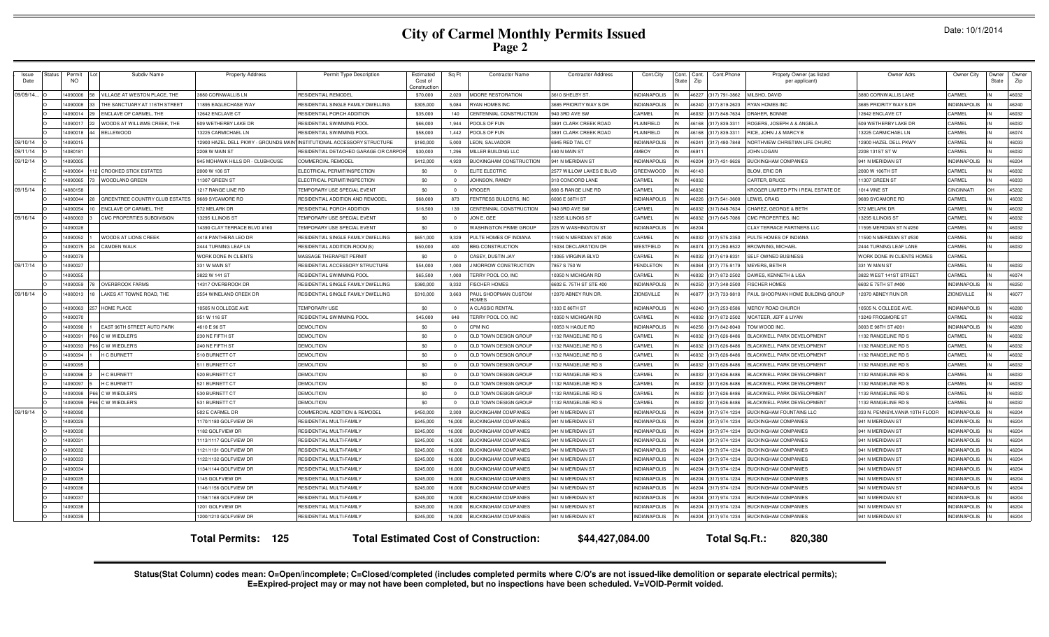# **City of Carmel Monthly Permits Issued Page 2**

| Issue<br>Date | Status | Permit<br><b>NO</b> | Subdiv Name                    | <b>Property Address</b>         | Permit Type Description                                               | Estimated<br>Cost of<br>onstructio | Sq Ft                   | <b>Contractor Name</b>                       | <b>Contractor Address</b>   | Cont.City           | Cont.<br>Cont.<br>State<br>Zip | Cont.Phone           | Propety Owner (as listed<br>per applicant) | Owner Adrs                     | Owner City          | Owner<br>State | Owne<br>Zip |
|---------------|--------|---------------------|--------------------------------|---------------------------------|-----------------------------------------------------------------------|------------------------------------|-------------------------|----------------------------------------------|-----------------------------|---------------------|--------------------------------|----------------------|--------------------------------------------|--------------------------------|---------------------|----------------|-------------|
| 09/09/14.     |        | 409000              | ILLAGE AT WESTON PLACE. THE    | 880 CORNWALLIS LN               | RESIDENTIAL REMODEL                                                   | \$70,000                           | 2.020                   | <b>MOORE RESTORATION</b>                     | 610 SHELBY ST               | NDIANAPOLIS         | 46227                          | (317) 791-3862       | MILSHO, DAVID                              | 3880 CORNWALLIS LANE           | CARMEL              |                | 46032       |
|               |        | 409000              | HE SANCTUARY AT 116TH STREET   | 1895 EAGLECHASE WAY             | RESIDENTIAL SINGLE FAMILY DWELLING                                    | \$305,000                          | 5,084                   | YAN HOMES INC                                | 685 PRIORITY WAY S DR       | NDIANAPOLIS         | 46240                          | 317) 819-2623        | <b>RYAN HOMES INC</b>                      | <b>8685 PRIORITY WAY S DE</b>  | NDIANAPOLIS         |                | 16240       |
|               |        | 409001              | NCLAVE OF CARMEL, THE          | 2642 ENCLAVE CT                 | RESIDENTIAL PORCH ADDITION                                            | \$35,000                           | 140                     | <b>ENTENNIAL CONSTRUCTION</b>                | 40 3RD AVE SW               | CARMEL              | 46032                          | 317) 848-7634        | RAHER, BONNIE                              | 12642 ENCLAVE CT               | CARMEL              |                | 16032       |
|               |        | 14090017            | WOODS AT WILLIAMS CREEK, THE   | 509 WETHERBY LAKE DF            | RESIDENTIAL SWIMMING POOI                                             | \$66,000                           | 1,944                   | POOLS OF FUN                                 | <b>891 CLARK CREEK ROAD</b> | PLAINFIELD          | 46168                          | 317) 839-331         | ROGERS, JOSEPH A & ANGELA                  | 509 WETHERBY LAKE DF           | CARMEL              |                | 46032       |
|               |        | 14090018            | <b>BELLEWOOD</b>               | 3225 CARMICHAEL LN              | RESIDENTIAL SWIMMING POOL                                             | \$58,000                           | 1.442                   | POOLS OF FUN                                 | 3891 CLARK CREEK ROAD       | <b>LAINFIELD</b>    | 46168                          | 317) 839-331         | RICE, JOHN J & MARCY E                     | 13225 CARMICHAEL LN            | CARMEL              |                | 46074       |
| 09/10/14      |        | 14090015            |                                |                                 | 2900 HAZEL DELL PKWY - GROUNDS MAIN INSTITUTIONAL ACCESSORY STRUCTURE | \$180,000                          | 5,000                   | EON, SALVADOR                                | <b>945 RED TAIL CT</b>      | NDIANAPOLIS         | 46241                          | (317) 480-7848       | NORTHVIEW CHRISTIAN LIFE CHURC             | 12900 HAZEL DELL PKWY          | CARMEL              |                | 46033       |
| 09/11/14      |        | 14080181            |                                | 2208 W MAIN ST                  | RESIDENTIAL DETACHED GARAGE OR CARPOF                                 | \$30,000                           | 1.296                   | MILLER BUILDING LLC                          | 490 N MAIN ST               | <b>MBOY</b>         | 46911                          |                      | <b>JOHN LOGAN</b>                          | 2208 131ST ST W                | CARMEL              |                | 46032       |
| 09/12/14      |        | 4090005             |                                | 945 MOHAWK HILLS DR - CLUBHOUSE | COMMERCIAL REMODEL                                                    | \$412,000                          | 4,920                   | <b>IUCKINGHAM CONSTRUCTION</b>               | <b>941 N MERIDIAN ST</b>    | NDIANAPOLIS         | 46204                          | 317) 431-9626        | <b>BUCKINGHAM COMPANIES</b>                | 941 N MERIDIAN ST              | <b>INDIANAPOLIS</b> |                | 46204       |
|               |        | 4090064             | <b>CROOKED STICK ESTATES</b>   | 2000 W 106 S                    | ELECTRICAL PERMIT/INSPECTION                                          | \$0                                | $\overline{\mathbf{0}}$ | <b>ELITE ELECTRIC</b>                        | 2577 WILLOW LAKES E BLVD    | <b>GREENWOOD</b>    | 46143                          |                      | <b>BLOM, ERIC DF</b>                       | 2000 W 106TH ST                | CARMEL              |                | 46032       |
|               |        | 1409006             | WOODLAND GREEN                 | 1307 GREEN ST                   | ELECTRICAL PERMIT/INSPECTION                                          | \$0                                | $\overline{\mathbf{0}}$ | <b>JOHNSON, RANDY</b>                        | <b>310 CONCORD LANE</b>     | CARMEL              | 46032                          |                      | CARTER, BRUCE                              | 11307 GREEN ST                 | CARMEL              |                | 46033       |
| 09/15/14      |        | 14080158            |                                | 1217 RANGE LINE RD              | TEMPORARY USE SPECIAL EVENT                                           | \$0                                | $\overline{0}$          | <b>ROGER</b>                                 | 890 S RANGE LINE RD         | CARMEL              | 46032                          |                      | KROGER LIMITED PTN I REAL ESTATE DE        | 1014 VINE ST                   | CINCINNAT           |                | 45202       |
|               |        | 4090044             | GREENTREE COUNTRY CLUB ESTATES | <b>9689 SYCAMORE RD</b>         | RESIDENTIAL ADDITION AND REMODE                                       | \$68,000                           | 873                     | ENTRESS BUILDERS, INC                        | 6006 E 38TH ST              | <b>NDIANAPOLIS</b>  | 46226                          | (317) 541-3600       | LEWIS, CRAIG                               | 9689 SYCAMORE RD               | CARMEL              |                | 46032       |
|               |        | 4090054             | ENCLAVE OF CARMEL, THE         | 572 MELARK DR                   | <b>RESIDENTIAL PORCH ADDITION</b>                                     | \$16,500                           | 139                     | CENTENNIAL CONSTRUCTION                      | 40 3RD AVE SW               | CARMEL              | 46032                          | (317) 848-7634       | CHAREZ, GEORGE & BETH                      | 572 MELARK DF                  | CARMEL              |                | 46032       |
| 09/16/14      |        | 14080003            | CMC PROPERTIES SUBDIVISION     | 3295 ILLINOIS ST                | <b>TEMPORARY USE SPECIAL EVENT</b>                                    | \$0                                | $\Omega$                | JON E. GEE                                   | 3295 ILLINOIS ST            | CARMEL              | 46032                          | 317) 645-7086        | CMC PROPERTIES, INC.                       | 13295 ILLINOIS ST              | CARMEL              |                | 46032       |
|               |        | 14090028            |                                | 4390 CLAY TERRACE BLVD #160     | <b><i>FEMPORARY USE SPECIAL EVENT</i></b>                             | \$0                                | $\Omega$                | <b>WASHINGTON PRIME GROUP</b>                | 225 W WASHINGTON ST         | <b>INDIANAPOLIS</b> | 46204                          |                      | <b>CLAY TERRACE PARTNERS LLC</b>           | 11595 MERIDIAN ST N #250       | CARMEL              |                | 46032       |
|               |        | 4090052             | WOODS AT LIONS CREEK           | <b>4418 PANTHERA LEO DR</b>     | RESIDENTIAL SINGLE FAMILY DWELLING                                    | \$651,000                          | 9.329                   | PULTE HOMES OF INDIANA                       | 1590 N MERIDIAN ST #530     | CARMEL              | <b>CENAM</b>                   | (317) 575-2350       | PULTE HOMES OF INDIANA                     | 11590 N MERIDIAN ST #530       | CARMEL              |                | 46032       |
|               |        | 4090075             | <b>CAMDEN WALK</b>             | 2444 TURNING LEAF LN            | RESIDENTIAL ADDITION-ROOM(S                                           | \$50,000                           | 400                     | <b>BBG CONSTRUCTION</b>                      | 5034 DECLARATION DE         | WESTFIELD           |                                | 46074 (317) 250-8522 | <b>BROWNING, MICHAE</b>                    | 2444 TURNING LEAF LANE         | CARMEL              |                | 46032       |
|               |        | 14090079            |                                | WORK DONE IN CLIENTS            | MASSAGE THERAPIST PERMIT                                              | \$0                                | $\overline{0}$          | CASEY, DUSTIN JAY                            | 3065 VIRGINIA BLVD          | CARMEL              | <b>CENAA</b>                   | 317) 619-8331        | <b>SELF OWNED BUSINESS</b>                 | WORK DONE IN CLIENTS HOMES     | CARMEL              |                |             |
| 09/17/14      |        | 4090027             |                                | 331 W MAIN ST                   | RESIDENTIAL ACCESSORY STRUCTURE                                       | \$54,000                           | 1,000                   | MORROW CONSTRUCTION                          | 7857 S 750 W                | PENDLETON           | 46064                          | (317) 775-9179       | MEYERS, BETH R                             | 331 W MAIN ST                  | CARMEL              |                | 46032       |
|               |        | 4090055             |                                | 3822 W 141 ST                   | RESIDENTIAL SWIMMING POOL                                             | \$65,500                           | 1.000                   | TERRY POOL CO. INC                           | 0350 N MICHIGAN RD          | CARMEL              |                                | 46032 (317) 872-2502 | DAWES, KENNETH & LISA                      | 3822 WEST 141ST STREET         | CARMEL              |                | 46074       |
|               |        | 14090059            | <b>OVERBROOK FARMS</b>         | 4317 OVERBROOK DF               | RESIDENTIAL SINGLE FAMILY DWELLING                                    | \$380,000                          | 9,332                   | <b>ISCHER HOMES</b>                          | 602 E. 75TH ST STE 400      | <b>INDIANAPOLIS</b> | 46250                          | (317) 348-2500       | <b>ISCHER HOMES</b>                        | 6602 E 75TH ST #400            | <b>INDIANAPOLIS</b> |                | 46250       |
| 09/18/14      |        | 14080013            | AKES AT TOWNE ROAD. THE        | 2554 WINELAND CREEK DR          | RESIDENTIAL SINGLE FAMILY DWELLING                                    | \$310,000                          | 3,663                   | PAUL SHOOPMAN CUSTOM<br><b>IOMES</b>         | 12070 ABNEY RUN DR.         | <b>ZIONSVILLE</b>   |                                | 46077 (317) 733-9810 | PAUL SHOOPMAN HOME BUILDING GROUP          | 12070 ABNEY RUN DR             | <b>ZIONSVILLE</b>   |                | 46077       |
|               |        | 14090063            | HOME PLACE                     | 0505 N COLLEGE AVE              | <b>TEMPORARY USE</b>                                                  | \$0                                | $\sqrt{ }$              | CLASSIC RENTAL                               | 1333 E 86TH ST              | <b>INDIANAPOLIS</b> |                                | 46240 (317) 253-0586 | MERCY ROAD CHURCH                          | 10505 N. COLLEGE AVE           | <b>INDIANAPOLIS</b> |                | 46280       |
|               |        | 4090070             |                                | 951 W 116 ST                    | RESIDENTIAL SWIMMING POOL                                             | \$45,000                           | 648                     | ERRY POOL CO. INC                            | 0350 N MICHIGAN RD          | CARMEL              | 46032                          | (317) 872-2502       | MCATEER, JEFF & LIYAN                      | 13249 FROGMORE ST              | CARMEL              |                | 46032       |
|               |        | 409009              | EAST 96TH STREET AUTO PARK     | 4610 E 96 ST                    | <b>DEMOLITION</b>                                                     | \$0                                | $\sqrt{ }$              | CPM INC                                      | 0053 N HAGUE RD             | <b>NDIANAPOLIS</b>  | 82564                          | 317) 842-8040        | TOM WOOD INC                               | 3003 E 98TH ST #201            | INDIANAPOLIS        |                | 46280       |
|               |        | 4090091             | W WIEDLER'S                    | 230 NE FIFTH ST                 | <b>DEMOLITION</b>                                                     | \$0                                | $\Omega$                | OLD TOWN DESIGN GROUP                        | 132 RANGELINE RD S          | CARMEL              | 46032                          | 317) 626-8486        | BLACKWELL PARK DEVELOPMENT                 | 132 RANGELINE RD S             | CARMEL              |                | 46032       |
|               |        | 14090093            | W WIEDLER'S                    | 240 NE FIFTH ST                 | <b>DEMOLITION</b>                                                     | \$0                                | $\Omega$                | OLD TOWN DESIGN GROUP                        | 132 RANGELINE RD S          | CARMEL              | <b>CENAA</b>                   | 317) 626-8486        | <b>BLACKWELL PARK DEVELOPMENT</b>          | 132 RANGELINE RD S             | <b>ARME</b>         |                | 46032       |
|               |        | 4090094             | <b>H C BURNETT</b>             | 10 BURNETT CT                   | <b>DEMOLITION</b>                                                     | \$0                                | $\Omega$                | OLD TOWN DESIGN GROUP                        | 132 RANGELINE RD S          | CARMEL              | 46032<br>IN                    | (317) 626-8486       | <b>BLACKWELL PARK DEVELOPMENT</b>          | 132 RANGELINE RD S             | CARMEL              |                | 46032       |
|               |        | 4090095             |                                | 11 BURNETT CT                   | <b>DEMOLITION</b>                                                     | \$0                                | $\overline{0}$          | OLD TOWN DESIGN GROUP                        | 132 RANGELINE RD S          | CARMEL              | <b>CENAA</b><br>IN             | (317) 626-8486       | LACKWELL PARK DEVELOPMENT                  | 132 RANGELINE RD S             | CARMEL              |                | 46032       |
|               |        | 409009              | <b>C BURNETT</b>               | 520 BURNETT CT                  | <b>DEMOLITION</b>                                                     | \$0                                | $\Omega$                | OLD TOWN DESIGN GROU                         | 132 RANGELINE RD S          | CARMEL              | 46032                          | (317) 626-8486       | <b>BI ACKWELL PARK DEVELOPMENT</b>         | 1132 RANGELINE RD S            | CARMEL              |                | 46032       |
|               |        | 4090097             | <b>C BURNETT</b>               | 521 BURNETT CT                  | <b>DEMOLITION</b>                                                     | \$0                                | $\overline{0}$          | OLD TOWN DESIGN GROUP                        | 132 RANGELINE RD S          | CARMEL              | 46032                          | (317) 626-8486       | <b>BLACKWELL PARK DEVELOPMENT</b>          | 132 RANGELINE RD S             | CARMEL              |                | 46032       |
|               |        | 1409009             | WWIEDLER'S                     | 530 BURNETT CT                  | <b>DEMOLITION</b>                                                     | \$0                                | $\Omega$                | OLD TOWN DESIGN GROUP                        | 132 RANGELINE RD S          | CARMEL              | 46032                          | (317) 626-8486       | LACKWELL PARK DEVELOPMENT                  | 132 RANGELINE RD S             | CARMEL              |                | 46032       |
|               |        | 4090099             | W WIEDLER'S                    | 531 BURNETT CT                  | <b>DEMOLITION</b>                                                     | \$0                                | $\overline{0}$          | OLD TOWN DESIGN GROUP                        | 132 RANGELINE RD S          | CARMEL              | 46032                          | (317) 626-8486       | BLACKWELL PARK DEVELOPMENT                 | 132 RANGELINE RD S             | CARMEL              |                | 46032       |
| 09/19/14      |        | 4080090             |                                | 502 E CARMEL DR                 | COMMERCIAL ADDITION & REMODEL                                         | \$450,000                          | 2,300                   | <b>BUCKINGHAM COMPANIES</b>                  | 941 N MERIDIAN ST           | <b>INDIANAPOLIS</b> | 46204                          | (317) 974-1234       | <b>BUCKINGHAM FOUNTAINS LLC</b>            | 333 N. PENNSYLVANIA 10TH FLOOR | <b>INDIANAPOLIS</b> |                | 46204       |
|               |        | 14090029            |                                | 170/1180 GOLFVIEW DR            | <b>RESIDENTIAL MULTI-FAMILY</b>                                       | \$245,000                          | 16,000                  | <b>BUCKINGHAM COMPANIES</b>                  | 941 N MERIDIAN ST           | <b>INDIANAPOLIS</b> |                                | 46204 (317) 974-1234 | <b>BUCKINGHAM COMPANIES</b>                | 941 N MERIDIAN ST              | <b>INDIANAPOLIS</b> |                | 46204       |
|               |        | 4090030             |                                | 182 GOLFVIEW DR                 | <b>RESIDENTIAL MULTI-FAMILY</b>                                       | \$245,000                          | 16,000                  | <b>BUCKINGHAM COMPANIES</b>                  | 941 N MERIDIAN ST           | <b>INDIANAPOLIS</b> |                                | 46204 (317) 974-1234 | <b>BUCKINGHAM COMPANIES</b>                | 941 N MERIDIAN ST              | <b>INDIANAPOLIS</b> |                | 46204       |
|               |        | 4090031             |                                | 113/1117 GOLFVIEW DR            | RESIDENTIAL MULTI-FAMILY                                              | \$245,000                          | 16,000                  | <b>BUCKINGHAM COMPANIES</b>                  | <b>941 N MERIDIAN ST</b>    | NDIANAPOLIS         |                                | 46204 (317) 974-1234 | <b>BUCKINGHAM COMPANIES</b>                | 941 N MERIDIAN ST              | <b>INDIANAPOLIS</b> |                | 46204       |
|               |        | 4090032             |                                | 121/1131 GOLFVIEW DR            | RESIDENTIAL MULTI-FAMILY                                              | \$245,000                          | 16,000                  | <b>BUCKINGHAM COMPANIES</b>                  | 941 N MERIDIAN ST           | <b>INDIANAPOLIS</b> |                                | 46204 (317) 974-1234 | <b>BUCKINGHAM COMPANIES</b>                | 941 N MERIDIAN ST              | <b>INDIANAPOLIS</b> |                | 46204       |
|               |        | 14090033            |                                | 122/1132 GOLFVIEW DR            | <b>RESIDENTIAL MULTI-FAMILY</b>                                       | \$245,000                          | 16,000                  | <b>BUCKINGHAM COMPANIES</b>                  | 941 N MERIDIAN ST           | NDIANAPOLIS         |                                | 46204 (317) 974-1234 | <b>BUCKINGHAM COMPANIES</b>                | 941 N MERIDIAN ST              | <b>INDIANAPOLIS</b> |                | 46204       |
|               |        | 4090034             |                                | 134/1144 GOLFVIEW DR            | <b>RESIDENTIAL MULTI-FAMILY</b>                                       | \$245,000                          | 16,000                  | <b>BLICKINGHAM COMPANIES</b>                 | 141 N MERIDIAN ST           | <b>NDIANAPOLIS</b>  |                                | 46204 (317) 974-1234 | <b>BLICKINGHAM COMPANIES</b>               | 941 N MERIDIAN ST              | INDIANAPOLIS        |                | 46204       |
|               |        | 14090035            |                                | 145 GOLFVIEW DR                 | <b>RESIDENTIAL MULTI-FAMILY</b>                                       | \$245,000                          | 16,000                  | <b>BUCKINGHAM COMPANIES</b>                  | <b>941 N MERIDIAN ST</b>    | <b>NDIANAPOLIS</b>  | 46204                          | (317) 974-1234       | <b>BUCKINGHAM COMPANIES</b>                | 941 N MERIDIAN ST              | <b>INDIANAPOLIS</b> |                | 46204       |
|               |        | 14090036            |                                | 146/1156 GOLFVIEW DR            | <b>RESIDENTIAL MULTI-FAMILY</b>                                       | \$245,000                          | 16,000                  | <b>IUCKINGHAM COMPANIES</b>                  | <b>941 N MERIDIAN ST</b>    | NDIANAPOLIS         | 46204                          | 317) 974-1234        | <b>UCKINGHAM COMPANIES</b>                 | 941 N MERIDIAN ST              | <b>INDIANAPOLIS</b> |                | 46204       |
|               |        | 14090037            |                                | 158/1168 GOLFVIEW DR            | <b>RESIDENTIAL MULTI-FAMILY</b>                                       | \$245,000                          | 16,000                  | <b>IUCKINGHAM COMPANIES</b>                  | 41 N MERIDIAN ST            | NDIANAPOLIS         | 46204                          | 317) 974-1234        | <b>UCKINGHAM COMPANIES</b>                 | <b>941 N MERIDIAN ST</b>       | NDIANAPOLIS         |                | 46204       |
|               |        | 14090038            |                                | 201 GOLFVIEW DR                 | <b>RESIDENTIAL MULTI-FAMILY</b>                                       | \$245,000                          | 16,000                  | <b>IUCKINGHAM COMPANIES</b>                  | 41 N MERIDIAN ST            | <b>NDIANAPOLIS</b>  | 46204                          | 317) 974-1234        | <b>BUCKINGHAM COMPANIES</b>                | 941 N MERIDIAN ST              | <b>INDIANAPOLIS</b> |                | 46204       |
|               |        | 14090039            |                                | 200/1210 GOLFVIEW DR            | <b>RESIDENTIAL MULTI-FAMILY</b>                                       | \$245,000                          | 16.000                  | <b>BUCKINGHAM COMPANIES</b>                  | 941 N MERIDIAN ST           | NDIANAPOLIS         |                                | 46204 (317) 974-1234 | <b>BUCKINGHAM COMPANIES</b>                | 941 N MERIDIAN ST              | <b>INDIANAPOLIS</b> |                | 46204       |
|               |        |                     |                                | 125<br><b>Total Permits:</b>    |                                                                       |                                    |                         | <b>Total Estimated Cost of Construction:</b> | \$44,427,084.00             |                     |                                | Total Sq.Ft.:        | 820.380                                    |                                |                     |                |             |

Status(Stat Column) codes mean: O=Open/incomplete; C=Closed/completed (includes completed permits where C/O's are not issued-like demolition or separate electrical permits);<br>E=Expired-project may or may not have been compl